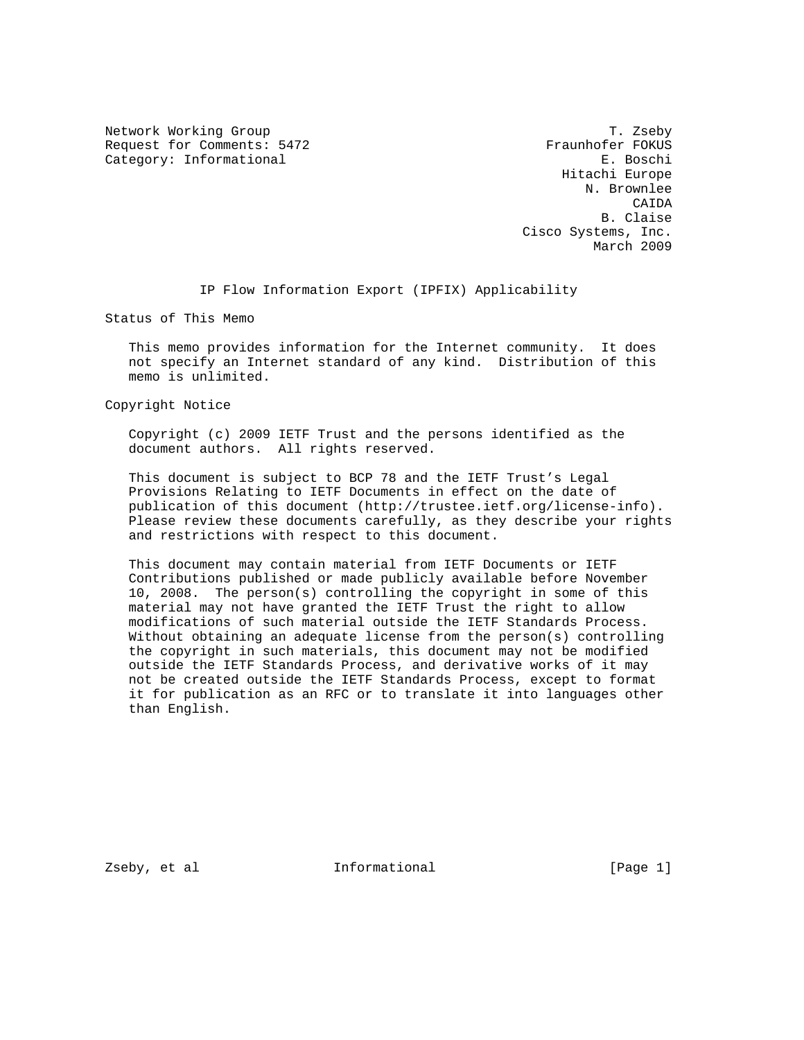Network Working Group T. Zseby Request for Comments: 5472 Fraunhofer FOKUS Category: Informational extension of the set of the set of the set of the set of the set of the set of the set of the set of the set of the set of the set of the set of the set of the set of the set of the set of the set o

 Hitachi Europe N. Brownlee CAIDA B. Claise Cisco Systems, Inc. March 2009

IP Flow Information Export (IPFIX) Applicability

Status of This Memo

 This memo provides information for the Internet community. It does not specify an Internet standard of any kind. Distribution of this memo is unlimited.

Copyright Notice

 Copyright (c) 2009 IETF Trust and the persons identified as the document authors. All rights reserved.

 This document is subject to BCP 78 and the IETF Trust's Legal Provisions Relating to IETF Documents in effect on the date of publication of this document (http://trustee.ietf.org/license-info). Please review these documents carefully, as they describe your rights and restrictions with respect to this document.

 This document may contain material from IETF Documents or IETF Contributions published or made publicly available before November 10, 2008. The person(s) controlling the copyright in some of this material may not have granted the IETF Trust the right to allow modifications of such material outside the IETF Standards Process. Without obtaining an adequate license from the person(s) controlling the copyright in such materials, this document may not be modified outside the IETF Standards Process, and derivative works of it may not be created outside the IETF Standards Process, except to format it for publication as an RFC or to translate it into languages other than English.

Zseby, et al informational [Page 1]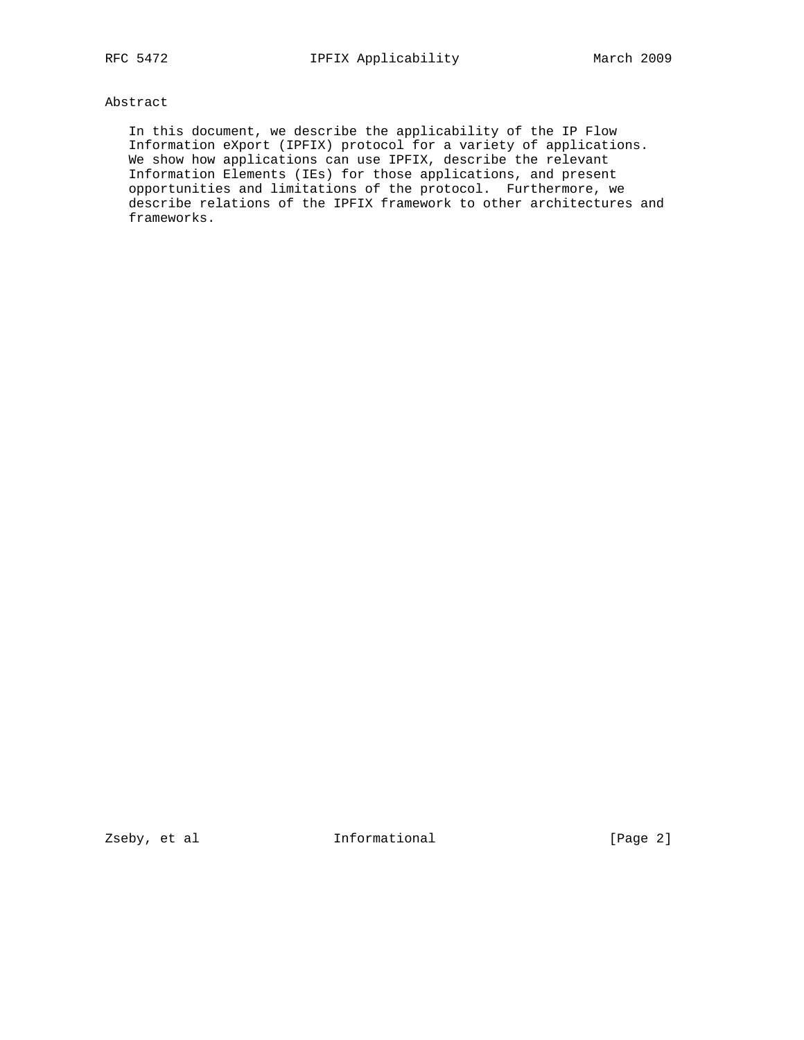# Abstract

 In this document, we describe the applicability of the IP Flow Information eXport (IPFIX) protocol for a variety of applications. We show how applications can use IPFIX, describe the relevant Information Elements (IEs) for those applications, and present opportunities and limitations of the protocol. Furthermore, we describe relations of the IPFIX framework to other architectures and frameworks.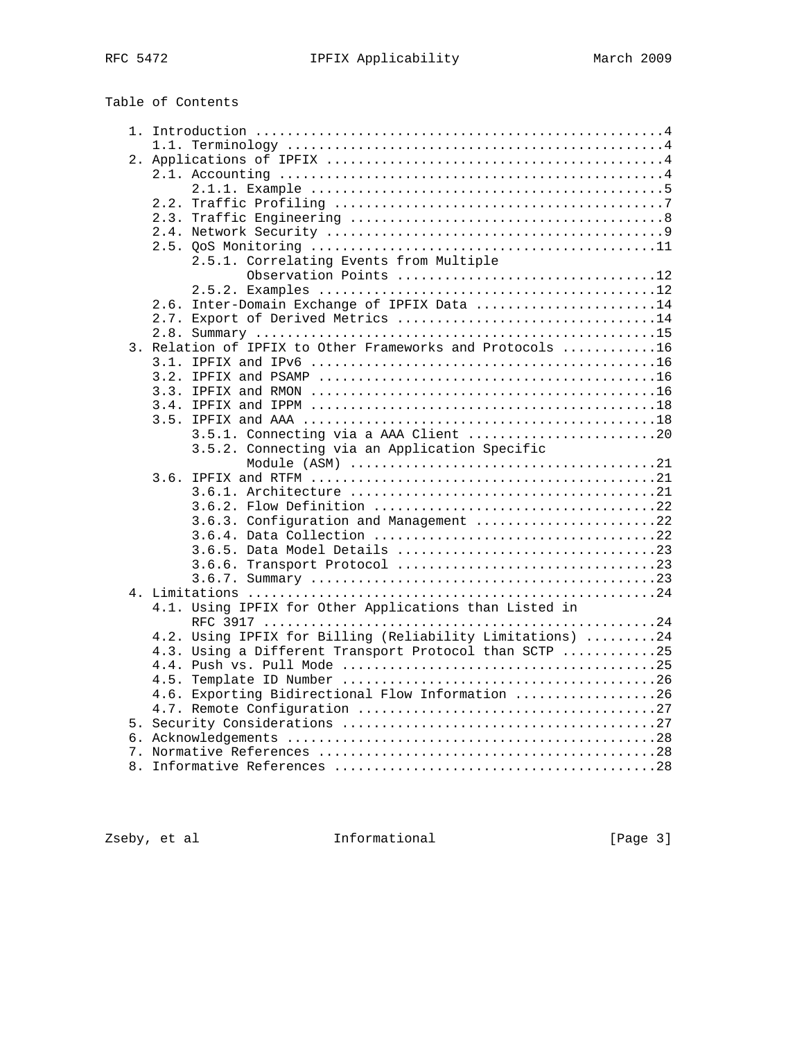| Table of Contents |
|-------------------|
|-------------------|

|  | 2.5.1. Correlating Events from Multiple                   |  |
|--|-----------------------------------------------------------|--|
|  | Observation Points 12                                     |  |
|  | 2.6. Inter-Domain Exchange of IPFIX Data 14               |  |
|  | 2.7. Export of Derived Metrics 14                         |  |
|  |                                                           |  |
|  | 3. Relation of IPFIX to Other Frameworks and Protocols 16 |  |
|  |                                                           |  |
|  |                                                           |  |
|  |                                                           |  |
|  |                                                           |  |
|  |                                                           |  |
|  | 3.5.1. Connecting via a AAA Client 20                     |  |
|  | 3.5.2. Connecting via an Application Specific             |  |
|  |                                                           |  |
|  |                                                           |  |
|  |                                                           |  |
|  |                                                           |  |
|  | 3.6.3. Configuration and Management 22                    |  |
|  |                                                           |  |
|  |                                                           |  |
|  |                                                           |  |
|  |                                                           |  |
|  | 4.1. Using IPFIX for Other Applications than Listed in    |  |
|  |                                                           |  |
|  | 4.2. Using IPFIX for Billing (Reliability Limitations) 24 |  |
|  | 4.3. Using a Different Transport Protocol than SCTP 25    |  |
|  |                                                           |  |
|  |                                                           |  |
|  | 4.6. Exporting Bidirectional Flow Information 26          |  |
|  |                                                           |  |
|  |                                                           |  |
|  |                                                           |  |
|  |                                                           |  |
|  |                                                           |  |
|  |                                                           |  |

Zseby, et al **Informational** [Page 3]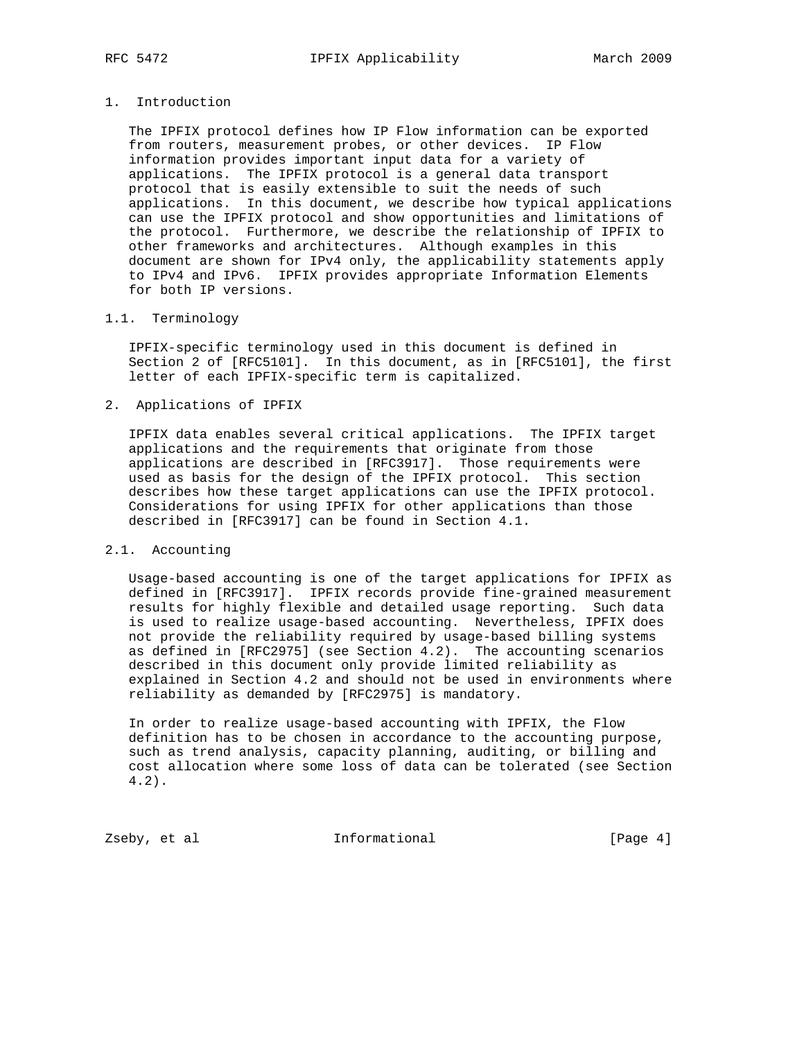# 1. Introduction

 The IPFIX protocol defines how IP Flow information can be exported from routers, measurement probes, or other devices. IP Flow information provides important input data for a variety of applications. The IPFIX protocol is a general data transport protocol that is easily extensible to suit the needs of such applications. In this document, we describe how typical applications can use the IPFIX protocol and show opportunities and limitations of the protocol. Furthermore, we describe the relationship of IPFIX to other frameworks and architectures. Although examples in this document are shown for IPv4 only, the applicability statements apply to IPv4 and IPv6. IPFIX provides appropriate Information Elements for both IP versions.

# 1.1. Terminology

 IPFIX-specific terminology used in this document is defined in Section 2 of [RFC5101]. In this document, as in [RFC5101], the first letter of each IPFIX-specific term is capitalized.

# 2. Applications of IPFIX

 IPFIX data enables several critical applications. The IPFIX target applications and the requirements that originate from those applications are described in [RFC3917]. Those requirements were used as basis for the design of the IPFIX protocol. This section describes how these target applications can use the IPFIX protocol. Considerations for using IPFIX for other applications than those described in [RFC3917] can be found in Section 4.1.

### 2.1. Accounting

 Usage-based accounting is one of the target applications for IPFIX as defined in [RFC3917]. IPFIX records provide fine-grained measurement results for highly flexible and detailed usage reporting. Such data is used to realize usage-based accounting. Nevertheless, IPFIX does not provide the reliability required by usage-based billing systems as defined in [RFC2975] (see Section 4.2). The accounting scenarios described in this document only provide limited reliability as explained in Section 4.2 and should not be used in environments where reliability as demanded by [RFC2975] is mandatory.

 In order to realize usage-based accounting with IPFIX, the Flow definition has to be chosen in accordance to the accounting purpose, such as trend analysis, capacity planning, auditing, or billing and cost allocation where some loss of data can be tolerated (see Section 4.2).

Zseby, et al informational informational [Page 4]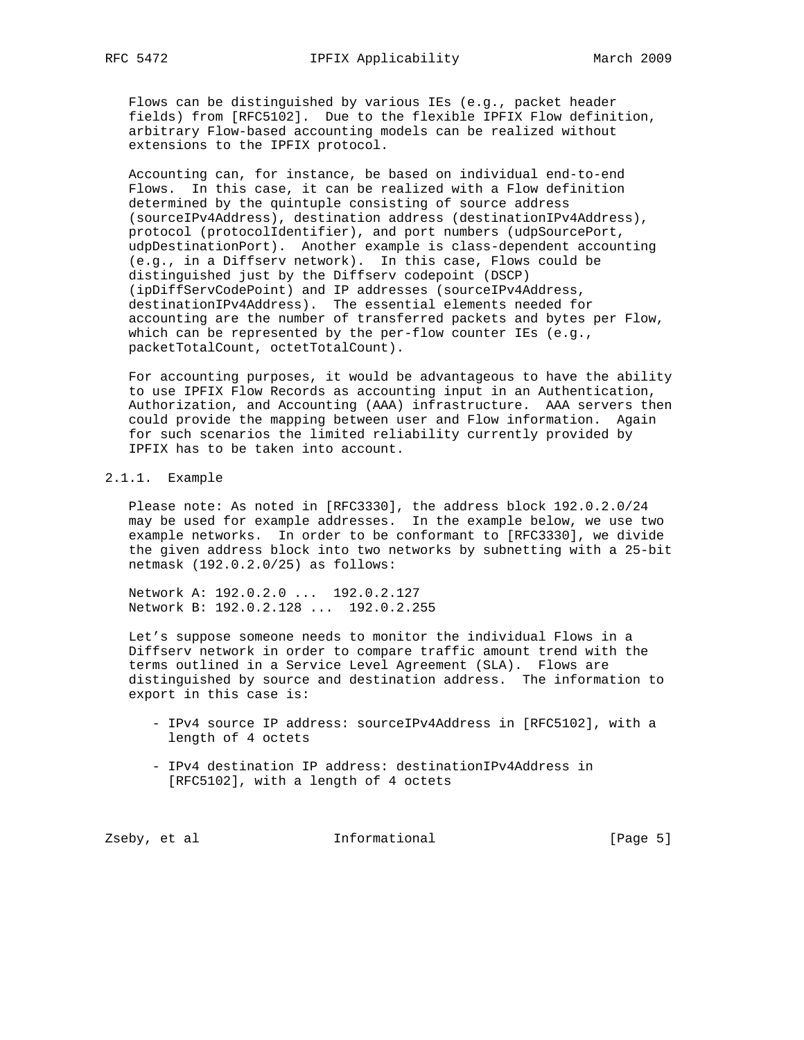Flows can be distinguished by various IEs (e.g., packet header fields) from [RFC5102]. Due to the flexible IPFIX Flow definition, arbitrary Flow-based accounting models can be realized without extensions to the IPFIX protocol.

 Accounting can, for instance, be based on individual end-to-end Flows. In this case, it can be realized with a Flow definition determined by the quintuple consisting of source address (sourceIPv4Address), destination address (destinationIPv4Address), protocol (protocolIdentifier), and port numbers (udpSourcePort, udpDestinationPort). Another example is class-dependent accounting (e.g., in a Diffserv network). In this case, Flows could be distinguished just by the Diffserv codepoint (DSCP) (ipDiffServCodePoint) and IP addresses (sourceIPv4Address, destinationIPv4Address). The essential elements needed for accounting are the number of transferred packets and bytes per Flow, which can be represented by the per-flow counter IEs (e.g., packetTotalCount, octetTotalCount).

 For accounting purposes, it would be advantageous to have the ability to use IPFIX Flow Records as accounting input in an Authentication, Authorization, and Accounting (AAA) infrastructure. AAA servers then could provide the mapping between user and Flow information. Again for such scenarios the limited reliability currently provided by IPFIX has to be taken into account.

# 2.1.1. Example

 Please note: As noted in [RFC3330], the address block 192.0.2.0/24 may be used for example addresses. In the example below, we use two example networks. In order to be conformant to [RFC3330], we divide the given address block into two networks by subnetting with a 25-bit netmask (192.0.2.0/25) as follows:

 Network A: 192.0.2.0 ... 192.0.2.127 Network B: 192.0.2.128 ... 192.0.2.255

 Let's suppose someone needs to monitor the individual Flows in a Diffserv network in order to compare traffic amount trend with the terms outlined in a Service Level Agreement (SLA). Flows are distinguished by source and destination address. The information to export in this case is:

- IPv4 source IP address: sourceIPv4Address in [RFC5102], with a length of 4 octets
- IPv4 destination IP address: destinationIPv4Address in [RFC5102], with a length of 4 octets

Zseby, et al **Informational** [Page 5]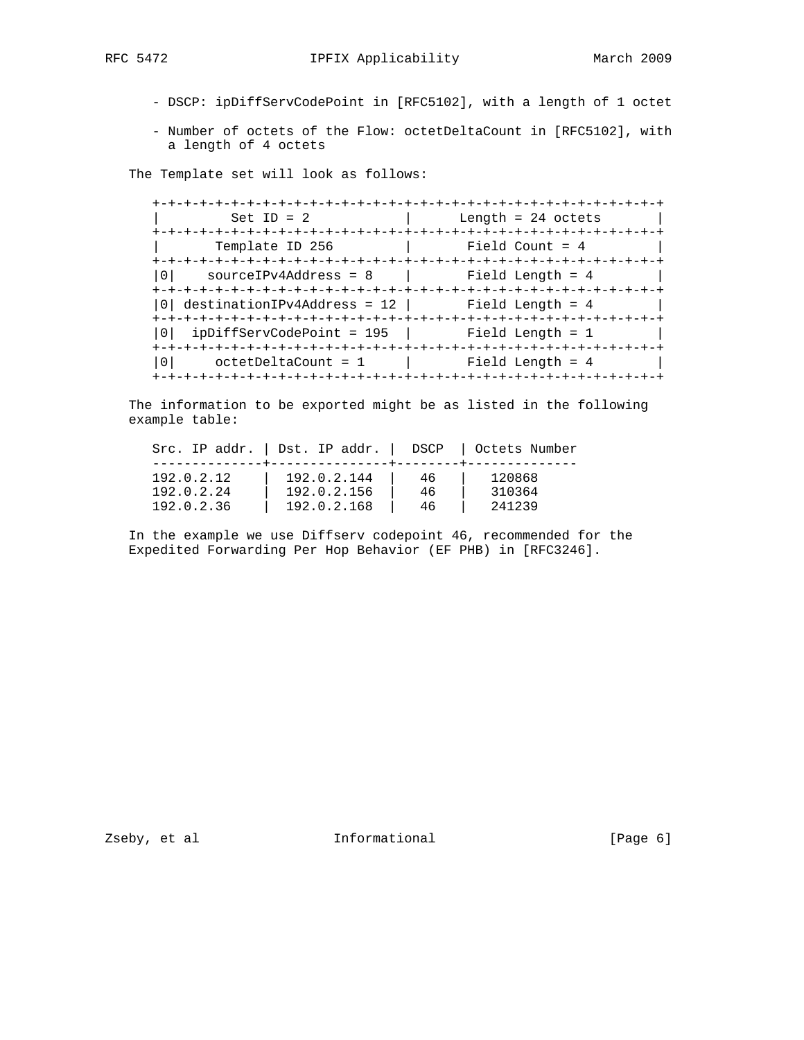- DSCP: ipDiffServCodePoint in [RFC5102], with a length of 1 octet
- Number of octets of the Flow: octetDeltaCount in [RFC5102], with a length of 4 octets

The Template set will look as follows:

 +-+-+-+-+-+-+-+-+-+-+-+-+-+-+-+-+-+-+-+-+-+-+-+-+-+-+-+-+-+-+-+-+ | Set ID = 2 | Length = 24 octets | +-+-+-+-+-+-+-+-+-+-+-+-+-+-+-+-+-+-+-+-+-+-+-+-+-+-+-+-+-+-+-+-+ Template ID 256 | Field Count = 4 +-+-+-+-+-+-+-+-+-+-+-+-+-+-+-+-+-+-+-+-+-+-+-+-+-+-+-+-+-+-+-+-+  $|0|$  sourceIPv4Address = 8 | +-+-+-+-+-+-+-+-+-+-+-+-+-+-+-+-+-+-+-+-+-+-+-+-+-+-+-+-+-+-+-+-+  $|0|$  destinationIPv4Address = 12 | Field Length = 4 +-+-+-+-+-+-+-+-+-+-+-+-+-+-+-+-+-+-+-+-+-+-+-+-+-+-+-+-+-+-+-+-+  $|0|$  ipDiffServCodePoint = 195 | Field Length = 1 +-+-+-+-+-+-+-+-+-+-+-+-+-+-+-+-+-+-+-+-+-+-+-+-+-+-+-+-+-+-+-+-+  $|0|$  octetDeltaCount = 1  $|$  Field Length = 4 +-+-+-+-+-+-+-+-+-+-+-+-+-+-+-+-+-+-+-+-+-+-+-+-+-+-+-+-+-+-+-+-+

 The information to be exported might be as listed in the following example table:

|            | Src. IP addr.   Dst. IP addr.   DSCP   Octets Number |    |        |
|------------|------------------------------------------------------|----|--------|
| 192.0.2.12 | 192.0.2.144                                          | 46 | 120868 |
| 192.0.2.24 | 192.0.2.156                                          | 46 | 310364 |
| 192.0.2.36 | 192.0.2.168                                          | 46 | 241239 |

 In the example we use Diffserv codepoint 46, recommended for the Expedited Forwarding Per Hop Behavior (EF PHB) in [RFC3246].

Zseby, et al **Informational** [Page 6]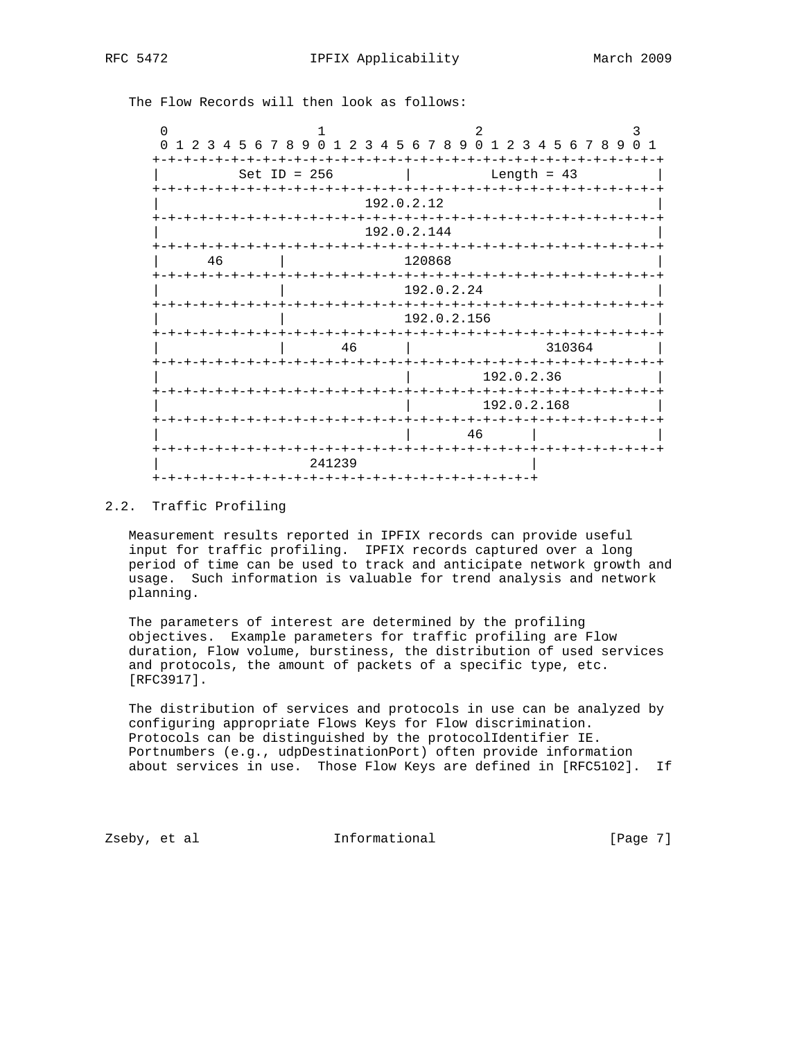The Flow Records will then look as follows:

| ∩                                            |                                                         |                                    |                        |
|----------------------------------------------|---------------------------------------------------------|------------------------------------|------------------------|
| $\Omega$<br>$\overline{3}$<br>$\overline{2}$ | 4 5 6 7 8 9 0 1 2 3 4 5 6 7 8 9 0 1 2 3 4 5 6 7 8 9 0 1 |                                    |                        |
| $+ - + - +$                                  | Set ID = $256$                                          |                                    | Length = $43$          |
| +-+-+-+-+-+-+-+-+-+-+-+                      | 192.0.2.12                                              | -+-+-+-+-+-+-+-+-+-+-+-            | -+-+-+                 |
|                                              | -+-+-+-+-+-+-+-+-                                       | 192.0.2.144<br>-+-+-+-+-+-         |                        |
| 46                                           |                                                         | 120868<br>$-+ - + - + - + - + - +$ |                        |
| <b>+-+-+-+-+-+-</b>                          |                                                         | 192.0.2.24                         |                        |
| ナーナーナーナーナーナー                                 | -+-+<br>-+-+-+-                                         | $- + - + - +$<br>192.0.2.156       |                        |
|                                              | 46<br>-+-+-+-+-+-+-+-+-+-                               |                                    | 310364<br>-+-+-+-+-+-+ |
|                                              |                                                         | 192.0.2.36                         |                        |
|                                              | -+-+-+-+-+-+-+                                          | - +<br>192.0.2.168                 |                        |
|                                              |                                                         | -+-+-+-+-+-+-+-+-+-+-+-+<br>46     | -+-+-+-+               |
|                                              | -+-+-+-+-+-+-+                                          | -+-+-+                             |                        |

# 2.2. Traffic Profiling

 Measurement results reported in IPFIX records can provide useful input for traffic profiling. IPFIX records captured over a long period of time can be used to track and anticipate network growth and usage. Such information is valuable for trend analysis and network planning.

 The parameters of interest are determined by the profiling objectives. Example parameters for traffic profiling are Flow duration, Flow volume, burstiness, the distribution of used services and protocols, the amount of packets of a specific type, etc. [RFC3917].

 The distribution of services and protocols in use can be analyzed by configuring appropriate Flows Keys for Flow discrimination. Protocols can be distinguished by the protocolIdentifier IE. Portnumbers (e.g., udpDestinationPort) often provide information about services in use. Those Flow Keys are defined in [RFC5102]. If

Zseby, et al informational [Page 7]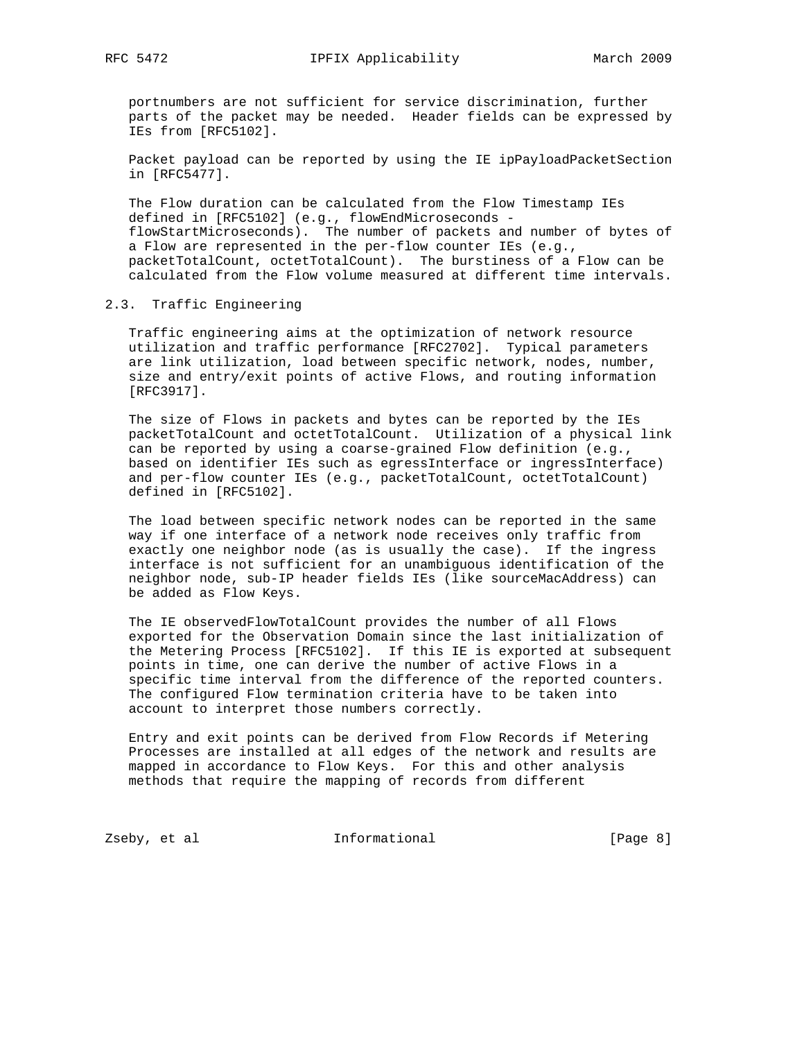portnumbers are not sufficient for service discrimination, further parts of the packet may be needed. Header fields can be expressed by IEs from [RFC5102].

 Packet payload can be reported by using the IE ipPayloadPacketSection in [RFC5477].

 The Flow duration can be calculated from the Flow Timestamp IEs defined in [RFC5102] (e.g., flowEndMicroseconds flowStartMicroseconds). The number of packets and number of bytes of a Flow are represented in the per-flow counter IEs (e.g., packetTotalCount, octetTotalCount). The burstiness of a Flow can be calculated from the Flow volume measured at different time intervals.

# 2.3. Traffic Engineering

 Traffic engineering aims at the optimization of network resource utilization and traffic performance [RFC2702]. Typical parameters are link utilization, load between specific network, nodes, number, size and entry/exit points of active Flows, and routing information [RFC3917].

 The size of Flows in packets and bytes can be reported by the IEs packetTotalCount and octetTotalCount. Utilization of a physical link can be reported by using a coarse-grained Flow definition (e.g., based on identifier IEs such as egressInterface or ingressInterface) and per-flow counter IEs (e.g., packetTotalCount, octetTotalCount) defined in [RFC5102].

 The load between specific network nodes can be reported in the same way if one interface of a network node receives only traffic from exactly one neighbor node (as is usually the case). If the ingress interface is not sufficient for an unambiguous identification of the neighbor node, sub-IP header fields IEs (like sourceMacAddress) can be added as Flow Keys.

 The IE observedFlowTotalCount provides the number of all Flows exported for the Observation Domain since the last initialization of the Metering Process [RFC5102]. If this IE is exported at subsequent points in time, one can derive the number of active Flows in a specific time interval from the difference of the reported counters. The configured Flow termination criteria have to be taken into account to interpret those numbers correctly.

 Entry and exit points can be derived from Flow Records if Metering Processes are installed at all edges of the network and results are mapped in accordance to Flow Keys. For this and other analysis methods that require the mapping of records from different

Zseby, et al **Informational** [Page 8]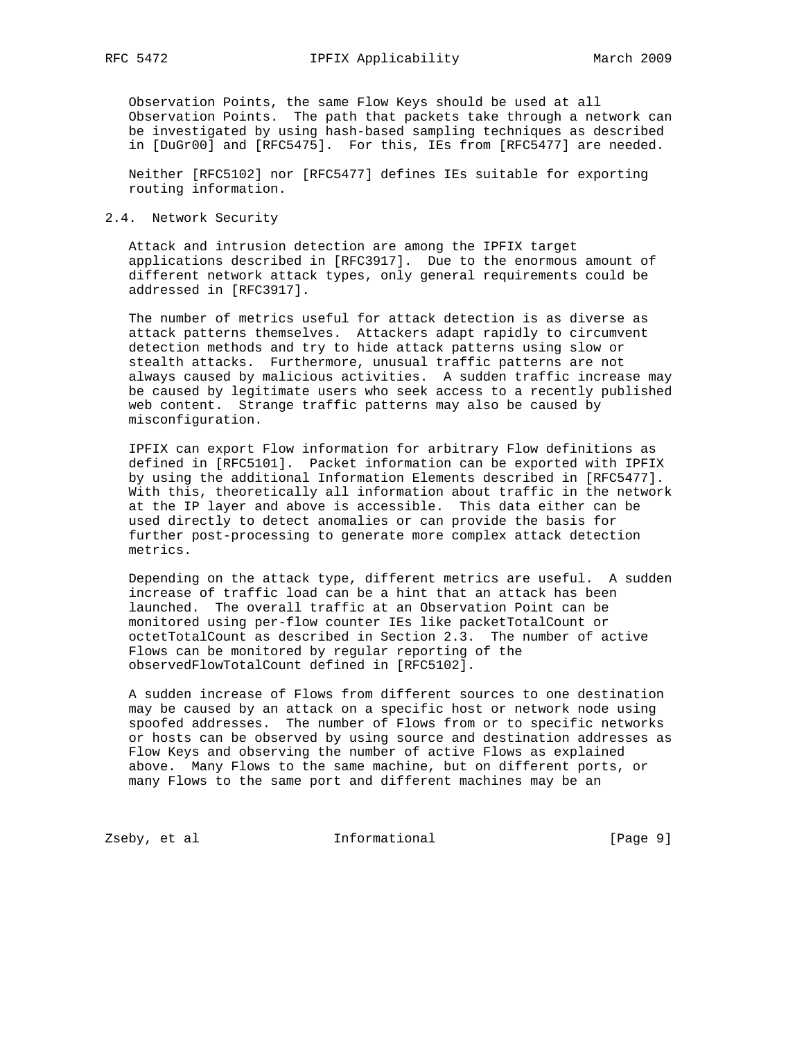Observation Points, the same Flow Keys should be used at all Observation Points. The path that packets take through a network can be investigated by using hash-based sampling techniques as described in [DuGr00] and [RFC5475]. For this, IEs from [RFC5477] are needed.

 Neither [RFC5102] nor [RFC5477] defines IEs suitable for exporting routing information.

# 2.4. Network Security

 Attack and intrusion detection are among the IPFIX target applications described in [RFC3917]. Due to the enormous amount of different network attack types, only general requirements could be addressed in [RFC3917].

 The number of metrics useful for attack detection is as diverse as attack patterns themselves. Attackers adapt rapidly to circumvent detection methods and try to hide attack patterns using slow or stealth attacks. Furthermore, unusual traffic patterns are not always caused by malicious activities. A sudden traffic increase may be caused by legitimate users who seek access to a recently published web content. Strange traffic patterns may also be caused by misconfiguration.

 IPFIX can export Flow information for arbitrary Flow definitions as defined in [RFC5101]. Packet information can be exported with IPFIX by using the additional Information Elements described in [RFC5477]. With this, theoretically all information about traffic in the network at the IP layer and above is accessible. This data either can be used directly to detect anomalies or can provide the basis for further post-processing to generate more complex attack detection metrics.

 Depending on the attack type, different metrics are useful. A sudden increase of traffic load can be a hint that an attack has been launched. The overall traffic at an Observation Point can be monitored using per-flow counter IEs like packetTotalCount or octetTotalCount as described in Section 2.3. The number of active Flows can be monitored by regular reporting of the observedFlowTotalCount defined in [RFC5102].

 A sudden increase of Flows from different sources to one destination may be caused by an attack on a specific host or network node using spoofed addresses. The number of Flows from or to specific networks or hosts can be observed by using source and destination addresses as Flow Keys and observing the number of active Flows as explained above. Many Flows to the same machine, but on different ports, or many Flows to the same port and different machines may be an

Zseby, et al **Informational** [Page 9]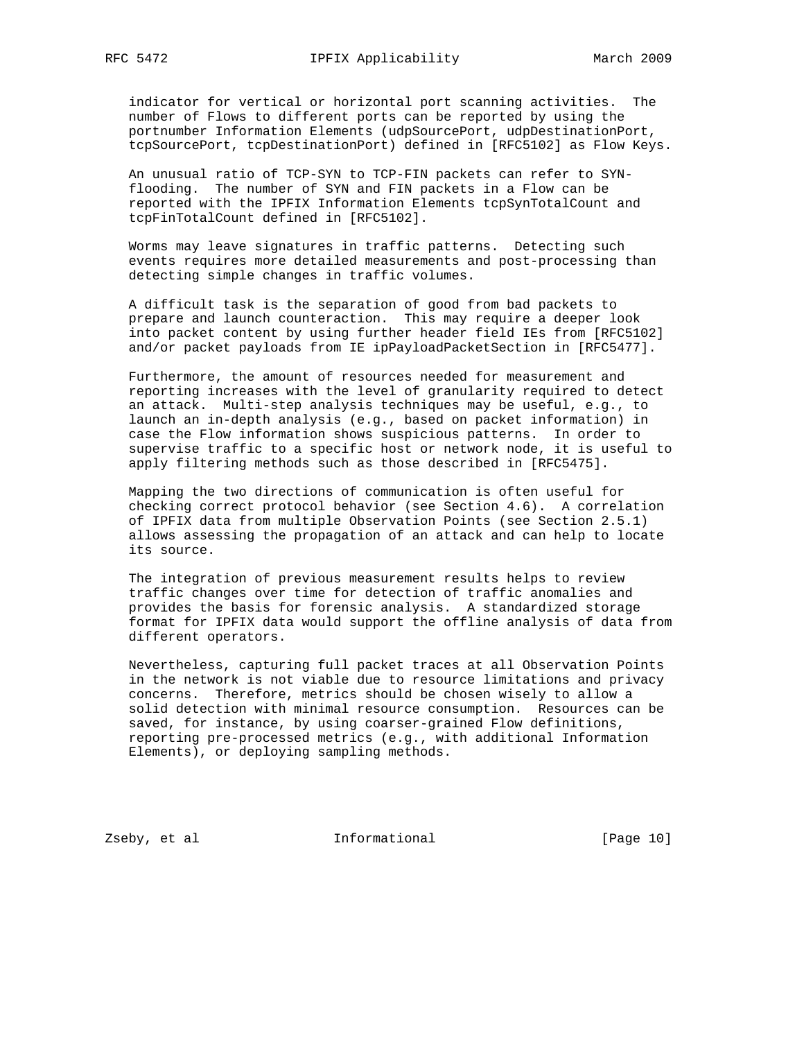indicator for vertical or horizontal port scanning activities. The number of Flows to different ports can be reported by using the portnumber Information Elements (udpSourcePort, udpDestinationPort, tcpSourcePort, tcpDestinationPort) defined in [RFC5102] as Flow Keys.

 An unusual ratio of TCP-SYN to TCP-FIN packets can refer to SYN flooding. The number of SYN and FIN packets in a Flow can be reported with the IPFIX Information Elements tcpSynTotalCount and tcpFinTotalCount defined in [RFC5102].

 Worms may leave signatures in traffic patterns. Detecting such events requires more detailed measurements and post-processing than detecting simple changes in traffic volumes.

 A difficult task is the separation of good from bad packets to prepare and launch counteraction. This may require a deeper look into packet content by using further header field IEs from [RFC5102] and/or packet payloads from IE ipPayloadPacketSection in [RFC5477].

 Furthermore, the amount of resources needed for measurement and reporting increases with the level of granularity required to detect an attack. Multi-step analysis techniques may be useful, e.g., to launch an in-depth analysis (e.g., based on packet information) in case the Flow information shows suspicious patterns. In order to supervise traffic to a specific host or network node, it is useful to apply filtering methods such as those described in [RFC5475].

 Mapping the two directions of communication is often useful for checking correct protocol behavior (see Section 4.6). A correlation of IPFIX data from multiple Observation Points (see Section 2.5.1) allows assessing the propagation of an attack and can help to locate its source.

 The integration of previous measurement results helps to review traffic changes over time for detection of traffic anomalies and provides the basis for forensic analysis. A standardized storage format for IPFIX data would support the offline analysis of data from different operators.

 Nevertheless, capturing full packet traces at all Observation Points in the network is not viable due to resource limitations and privacy concerns. Therefore, metrics should be chosen wisely to allow a solid detection with minimal resource consumption. Resources can be saved, for instance, by using coarser-grained Flow definitions, reporting pre-processed metrics (e.g., with additional Information Elements), or deploying sampling methods.

Zseby, et al **Informational** [Page 10]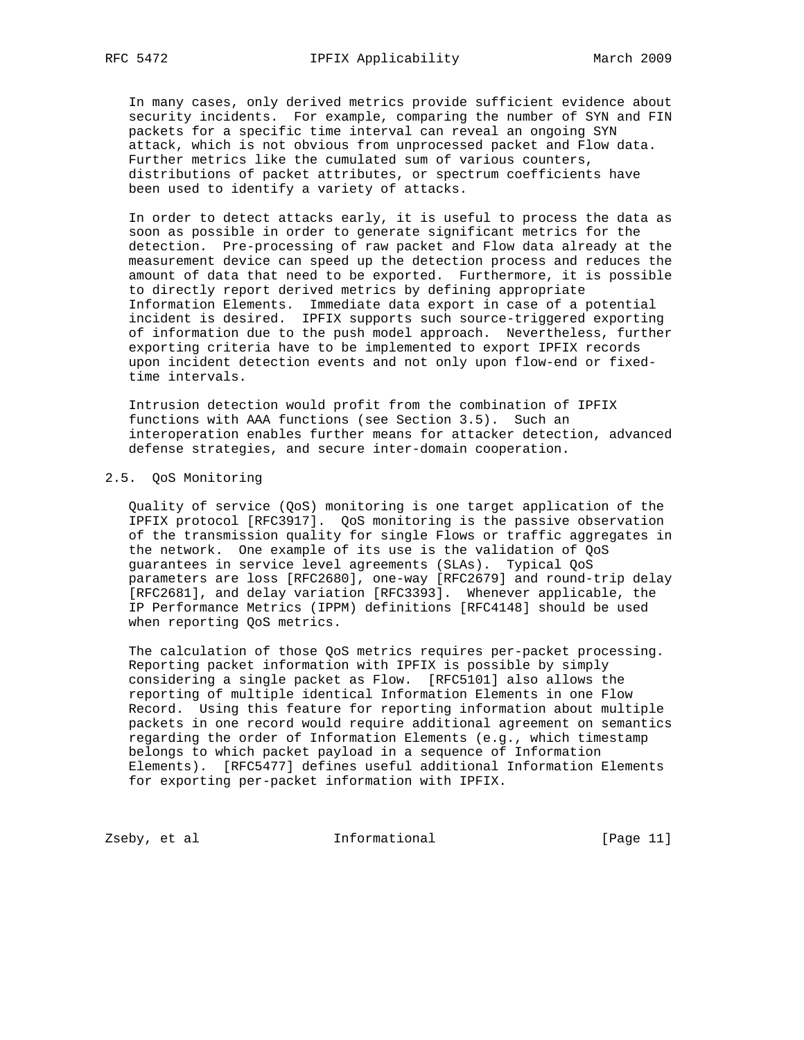In many cases, only derived metrics provide sufficient evidence about security incidents. For example, comparing the number of SYN and FIN packets for a specific time interval can reveal an ongoing SYN attack, which is not obvious from unprocessed packet and Flow data. Further metrics like the cumulated sum of various counters, distributions of packet attributes, or spectrum coefficients have been used to identify a variety of attacks.

 In order to detect attacks early, it is useful to process the data as soon as possible in order to generate significant metrics for the detection. Pre-processing of raw packet and Flow data already at the measurement device can speed up the detection process and reduces the amount of data that need to be exported. Furthermore, it is possible to directly report derived metrics by defining appropriate Information Elements. Immediate data export in case of a potential incident is desired. IPFIX supports such source-triggered exporting of information due to the push model approach. Nevertheless, further exporting criteria have to be implemented to export IPFIX records upon incident detection events and not only upon flow-end or fixed time intervals.

 Intrusion detection would profit from the combination of IPFIX functions with AAA functions (see Section 3.5). Such an interoperation enables further means for attacker detection, advanced defense strategies, and secure inter-domain cooperation.

# 2.5. QoS Monitoring

 Quality of service (QoS) monitoring is one target application of the IPFIX protocol [RFC3917]. QoS monitoring is the passive observation of the transmission quality for single Flows or traffic aggregates in the network. One example of its use is the validation of QoS guarantees in service level agreements (SLAs). Typical QoS parameters are loss [RFC2680], one-way [RFC2679] and round-trip delay [RFC2681], and delay variation [RFC3393]. Whenever applicable, the IP Performance Metrics (IPPM) definitions [RFC4148] should be used when reporting QoS metrics.

 The calculation of those QoS metrics requires per-packet processing. Reporting packet information with IPFIX is possible by simply considering a single packet as Flow. [RFC5101] also allows the reporting of multiple identical Information Elements in one Flow Record. Using this feature for reporting information about multiple packets in one record would require additional agreement on semantics regarding the order of Information Elements (e.g., which timestamp belongs to which packet payload in a sequence of Information Elements). [RFC5477] defines useful additional Information Elements for exporting per-packet information with IPFIX.

Zseby, et al informational [Page 11]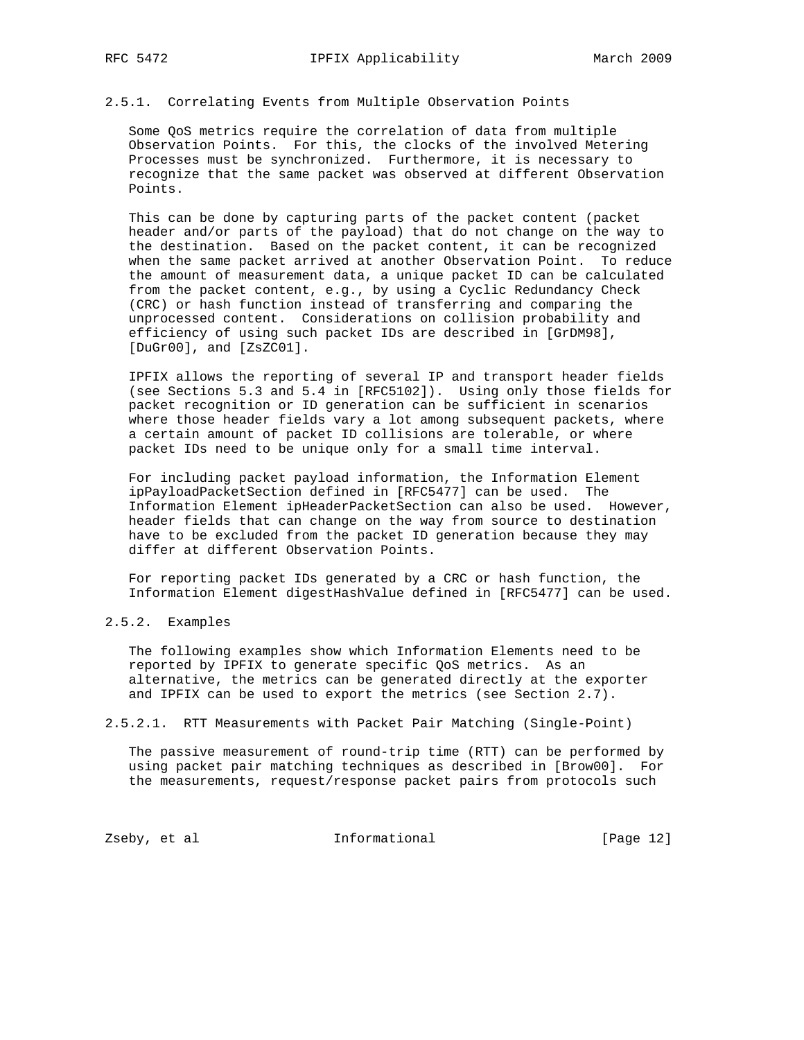# 2.5.1. Correlating Events from Multiple Observation Points

 Some QoS metrics require the correlation of data from multiple Observation Points. For this, the clocks of the involved Metering Processes must be synchronized. Furthermore, it is necessary to recognize that the same packet was observed at different Observation Points.

 This can be done by capturing parts of the packet content (packet header and/or parts of the payload) that do not change on the way to the destination. Based on the packet content, it can be recognized when the same packet arrived at another Observation Point. To reduce the amount of measurement data, a unique packet ID can be calculated from the packet content, e.g., by using a Cyclic Redundancy Check (CRC) or hash function instead of transferring and comparing the unprocessed content. Considerations on collision probability and efficiency of using such packet IDs are described in [GrDM98], [DuGr00], and [ZsZC01].

 IPFIX allows the reporting of several IP and transport header fields (see Sections 5.3 and 5.4 in [RFC5102]). Using only those fields for packet recognition or ID generation can be sufficient in scenarios where those header fields vary a lot among subsequent packets, where a certain amount of packet ID collisions are tolerable, or where packet IDs need to be unique only for a small time interval.

 For including packet payload information, the Information Element ipPayloadPacketSection defined in [RFC5477] can be used. The Information Element ipHeaderPacketSection can also be used. However, header fields that can change on the way from source to destination have to be excluded from the packet ID generation because they may differ at different Observation Points.

 For reporting packet IDs generated by a CRC or hash function, the Information Element digestHashValue defined in [RFC5477] can be used.

2.5.2. Examples

 The following examples show which Information Elements need to be reported by IPFIX to generate specific QoS metrics. As an alternative, the metrics can be generated directly at the exporter and IPFIX can be used to export the metrics (see Section 2.7).

2.5.2.1. RTT Measurements with Packet Pair Matching (Single-Point)

 The passive measurement of round-trip time (RTT) can be performed by using packet pair matching techniques as described in [Brow00]. For the measurements, request/response packet pairs from protocols such

Zseby, et al **Informational** [Page 12]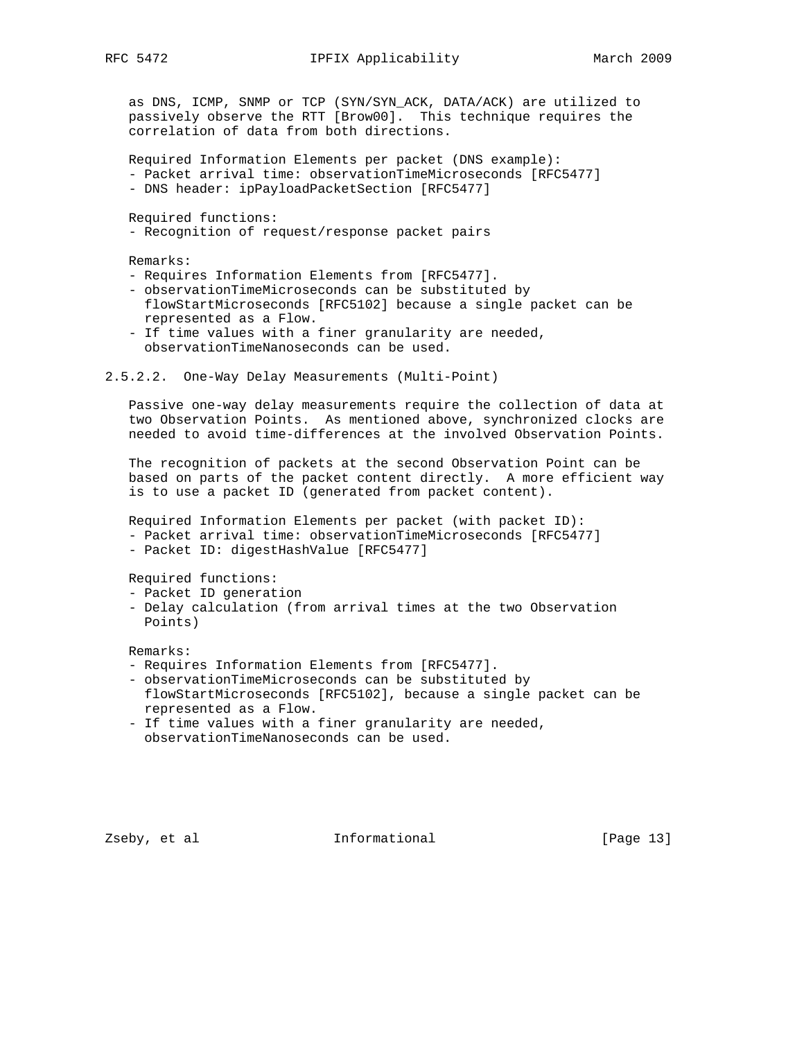as DNS, ICMP, SNMP or TCP (SYN/SYN\_ACK, DATA/ACK) are utilized to passively observe the RTT [Brow00]. This technique requires the correlation of data from both directions.

 Required Information Elements per packet (DNS example): - Packet arrival time: observationTimeMicroseconds [RFC5477]

- DNS header: ipPayloadPacketSection [RFC5477]

Required functions:

- Recognition of request/response packet pairs

Remarks:

- Requires Information Elements from [RFC5477].
- observationTimeMicroseconds can be substituted by flowStartMicroseconds [RFC5102] because a single packet can be represented as a Flow.
- If time values with a finer granularity are needed, observationTimeNanoseconds can be used.
- 2.5.2.2. One-Way Delay Measurements (Multi-Point)

 Passive one-way delay measurements require the collection of data at two Observation Points. As mentioned above, synchronized clocks are needed to avoid time-differences at the involved Observation Points.

 The recognition of packets at the second Observation Point can be based on parts of the packet content directly. A more efficient way is to use a packet ID (generated from packet content).

 Required Information Elements per packet (with packet ID): - Packet arrival time: observationTimeMicroseconds [RFC5477]

- Packet ID: digestHashValue [RFC5477]

Required functions:

- Packet ID generation
- Delay calculation (from arrival times at the two Observation Points)

Remarks:

- Requires Information Elements from [RFC5477].
- observationTimeMicroseconds can be substituted by flowStartMicroseconds [RFC5102], because a single packet can be represented as a Flow.
- If time values with a finer granularity are needed, observationTimeNanoseconds can be used.

Zseby, et al **Informational** [Page 13]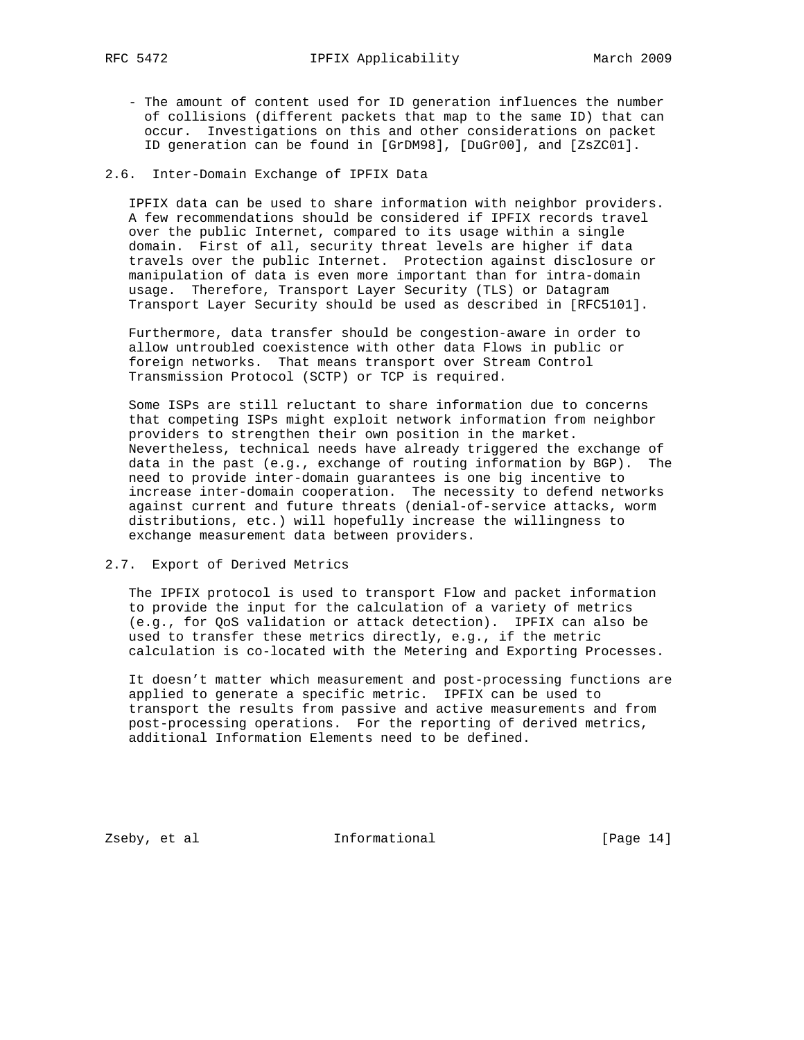- The amount of content used for ID generation influences the number of collisions (different packets that map to the same ID) that can occur. Investigations on this and other considerations on packet ID generation can be found in [GrDM98], [DuGr00], and [ZsZC01].

# 2.6. Inter-Domain Exchange of IPFIX Data

 IPFIX data can be used to share information with neighbor providers. A few recommendations should be considered if IPFIX records travel over the public Internet, compared to its usage within a single domain. First of all, security threat levels are higher if data travels over the public Internet. Protection against disclosure or manipulation of data is even more important than for intra-domain usage. Therefore, Transport Layer Security (TLS) or Datagram Transport Layer Security should be used as described in [RFC5101].

 Furthermore, data transfer should be congestion-aware in order to allow untroubled coexistence with other data Flows in public or foreign networks. That means transport over Stream Control Transmission Protocol (SCTP) or TCP is required.

 Some ISPs are still reluctant to share information due to concerns that competing ISPs might exploit network information from neighbor providers to strengthen their own position in the market. Nevertheless, technical needs have already triggered the exchange of data in the past (e.g., exchange of routing information by BGP). The need to provide inter-domain guarantees is one big incentive to increase inter-domain cooperation. The necessity to defend networks against current and future threats (denial-of-service attacks, worm distributions, etc.) will hopefully increase the willingness to exchange measurement data between providers.

### 2.7. Export of Derived Metrics

 The IPFIX protocol is used to transport Flow and packet information to provide the input for the calculation of a variety of metrics (e.g., for QoS validation or attack detection). IPFIX can also be used to transfer these metrics directly, e.g., if the metric calculation is co-located with the Metering and Exporting Processes.

 It doesn't matter which measurement and post-processing functions are applied to generate a specific metric. IPFIX can be used to transport the results from passive and active measurements and from post-processing operations. For the reporting of derived metrics, additional Information Elements need to be defined.

Zseby, et al informational informational [Page 14]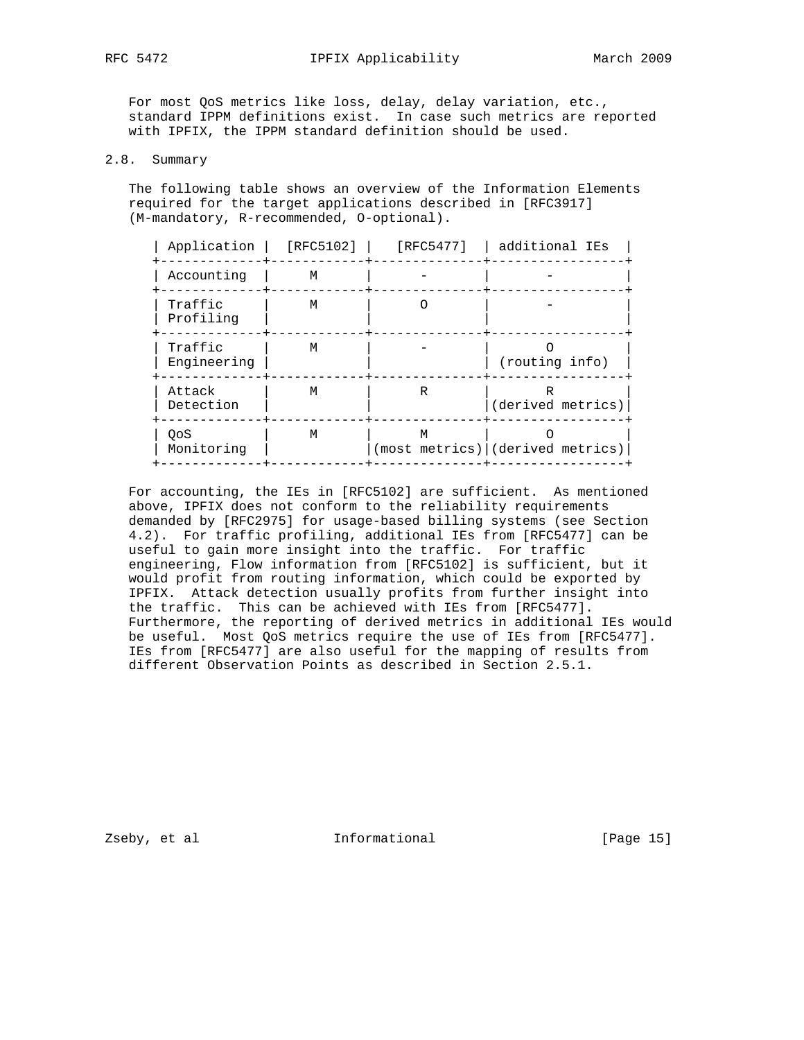For most QoS metrics like loss, delay, delay variation, etc., standard IPPM definitions exist. In case such metrics are reported with IPFIX, the IPPM standard definition should be used.

# 2.8. Summary

 The following table shows an overview of the Information Elements required for the target applications described in [RFC3917] (M-mandatory, R-recommended, O-optional).

| Application            | [RFC5102] | [RFC5477] | additional IEs                         |
|------------------------|-----------|-----------|----------------------------------------|
| Accounting             | M         |           |                                        |
| Traffic<br>Profiling   | M         |           |                                        |
| Traffic<br>Engineering | M         |           | (routing info)                         |
| Attack<br>Detection    | M         | R         | R<br>(derived metrics)                 |
| OoS<br>Monitoring      | M         | M         | $(most$ metrics) $  (derived$ metrics) |

 For accounting, the IEs in [RFC5102] are sufficient. As mentioned above, IPFIX does not conform to the reliability requirements demanded by [RFC2975] for usage-based billing systems (see Section 4.2). For traffic profiling, additional IEs from [RFC5477] can be useful to gain more insight into the traffic. For traffic engineering, Flow information from [RFC5102] is sufficient, but it would profit from routing information, which could be exported by IPFIX. Attack detection usually profits from further insight into the traffic. This can be achieved with IEs from [RFC5477]. Furthermore, the reporting of derived metrics in additional IEs would be useful. Most QoS metrics require the use of IEs from [RFC5477]. IEs from [RFC5477] are also useful for the mapping of results from different Observation Points as described in Section 2.5.1.

Zseby, et al **Informational** [Page 15]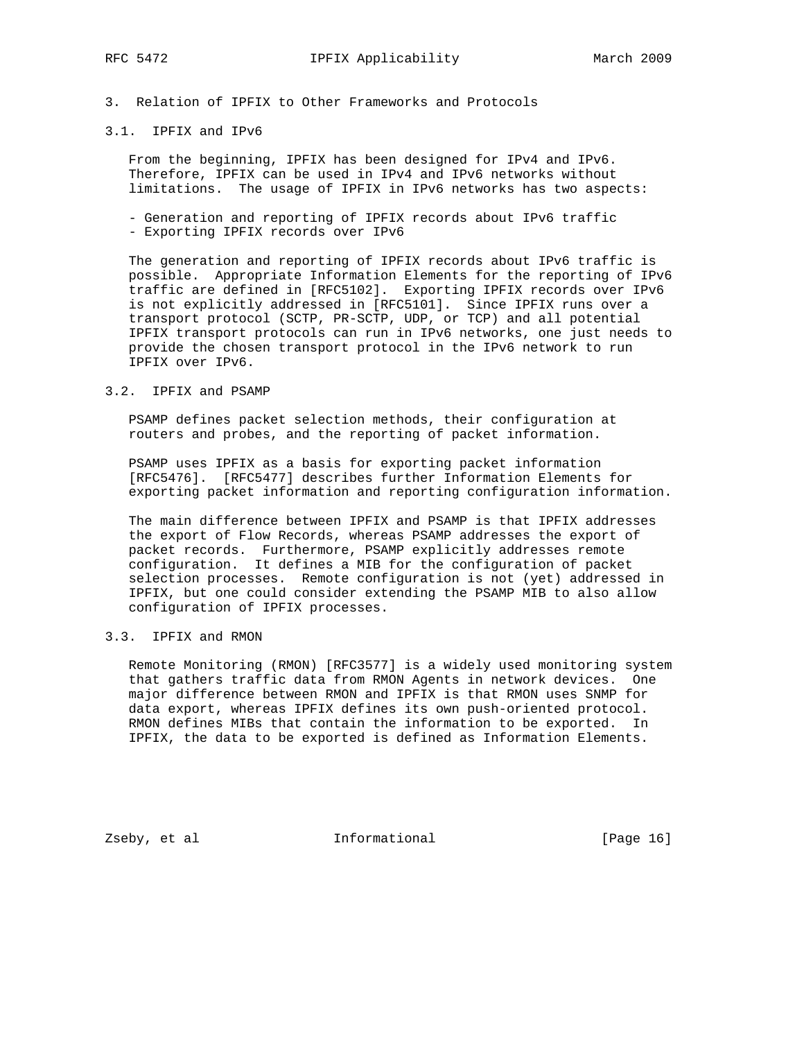# 3.1. IPFIX and IPv6

 From the beginning, IPFIX has been designed for IPv4 and IPv6. Therefore, IPFIX can be used in IPv4 and IPv6 networks without limitations. The usage of IPFIX in IPv6 networks has two aspects:

- Generation and reporting of IPFIX records about IPv6 traffic - Exporting IPFIX records over IPv6
- 

 The generation and reporting of IPFIX records about IPv6 traffic is possible. Appropriate Information Elements for the reporting of IPv6 traffic are defined in [RFC5102]. Exporting IPFIX records over IPv6 is not explicitly addressed in [RFC5101]. Since IPFIX runs over a transport protocol (SCTP, PR-SCTP, UDP, or TCP) and all potential IPFIX transport protocols can run in IPv6 networks, one just needs to provide the chosen transport protocol in the IPv6 network to run IPFIX over IPv6.

# 3.2. IPFIX and PSAMP

 PSAMP defines packet selection methods, their configuration at routers and probes, and the reporting of packet information.

 PSAMP uses IPFIX as a basis for exporting packet information [RFC5476]. [RFC5477] describes further Information Elements for exporting packet information and reporting configuration information.

 The main difference between IPFIX and PSAMP is that IPFIX addresses the export of Flow Records, whereas PSAMP addresses the export of packet records. Furthermore, PSAMP explicitly addresses remote configuration. It defines a MIB for the configuration of packet selection processes. Remote configuration is not (yet) addressed in IPFIX, but one could consider extending the PSAMP MIB to also allow configuration of IPFIX processes.

# 3.3. IPFIX and RMON

 Remote Monitoring (RMON) [RFC3577] is a widely used monitoring system that gathers traffic data from RMON Agents in network devices. One major difference between RMON and IPFIX is that RMON uses SNMP for data export, whereas IPFIX defines its own push-oriented protocol. RMON defines MIBs that contain the information to be exported. In IPFIX, the data to be exported is defined as Information Elements.

Zseby, et al **Informational** [Page 16]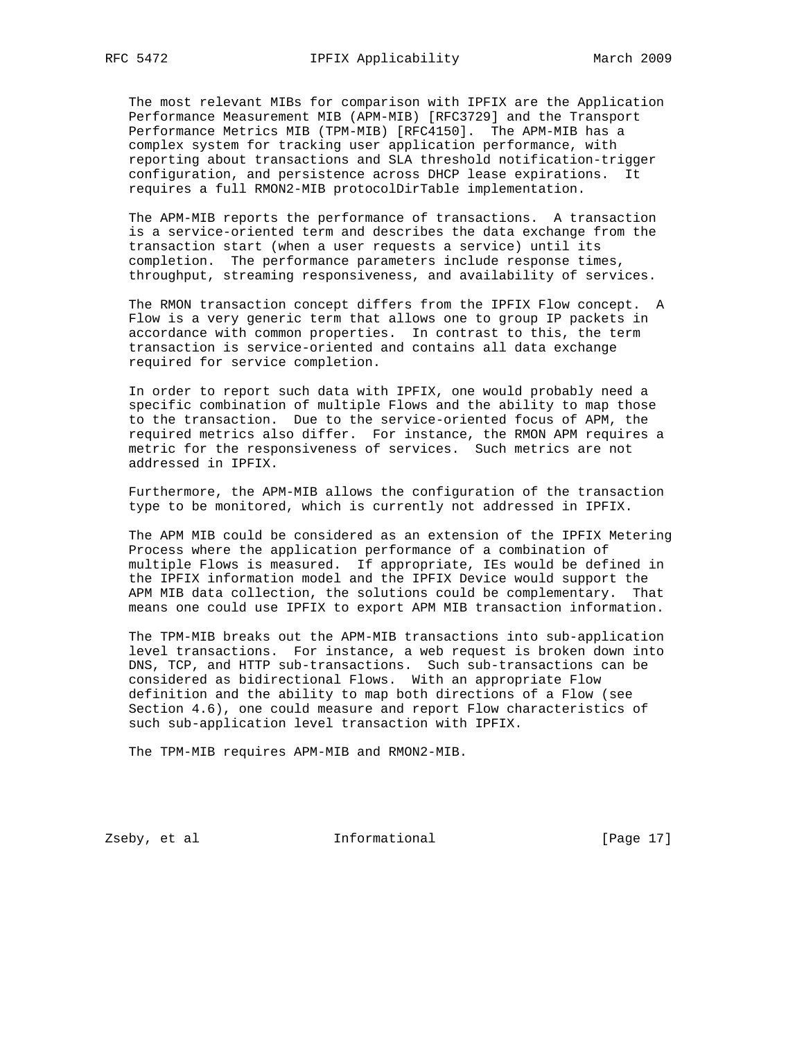The most relevant MIBs for comparison with IPFIX are the Application Performance Measurement MIB (APM-MIB) [RFC3729] and the Transport Performance Metrics MIB (TPM-MIB) [RFC4150]. The APM-MIB has a complex system for tracking user application performance, with reporting about transactions and SLA threshold notification-trigger configuration, and persistence across DHCP lease expirations. It requires a full RMON2-MIB protocolDirTable implementation.

 The APM-MIB reports the performance of transactions. A transaction is a service-oriented term and describes the data exchange from the transaction start (when a user requests a service) until its completion. The performance parameters include response times, throughput, streaming responsiveness, and availability of services.

 The RMON transaction concept differs from the IPFIX Flow concept. A Flow is a very generic term that allows one to group IP packets in accordance with common properties. In contrast to this, the term transaction is service-oriented and contains all data exchange required for service completion.

 In order to report such data with IPFIX, one would probably need a specific combination of multiple Flows and the ability to map those to the transaction. Due to the service-oriented focus of APM, the required metrics also differ. For instance, the RMON APM requires a metric for the responsiveness of services. Such metrics are not addressed in IPFIX.

 Furthermore, the APM-MIB allows the configuration of the transaction type to be monitored, which is currently not addressed in IPFIX.

 The APM MIB could be considered as an extension of the IPFIX Metering Process where the application performance of a combination of multiple Flows is measured. If appropriate, IEs would be defined in the IPFIX information model and the IPFIX Device would support the APM MIB data collection, the solutions could be complementary. That means one could use IPFIX to export APM MIB transaction information.

 The TPM-MIB breaks out the APM-MIB transactions into sub-application level transactions. For instance, a web request is broken down into DNS, TCP, and HTTP sub-transactions. Such sub-transactions can be considered as bidirectional Flows. With an appropriate Flow definition and the ability to map both directions of a Flow (see Section 4.6), one could measure and report Flow characteristics of such sub-application level transaction with IPFIX.

The TPM-MIB requires APM-MIB and RMON2-MIB.

Zseby, et al **Informational** [Page 17]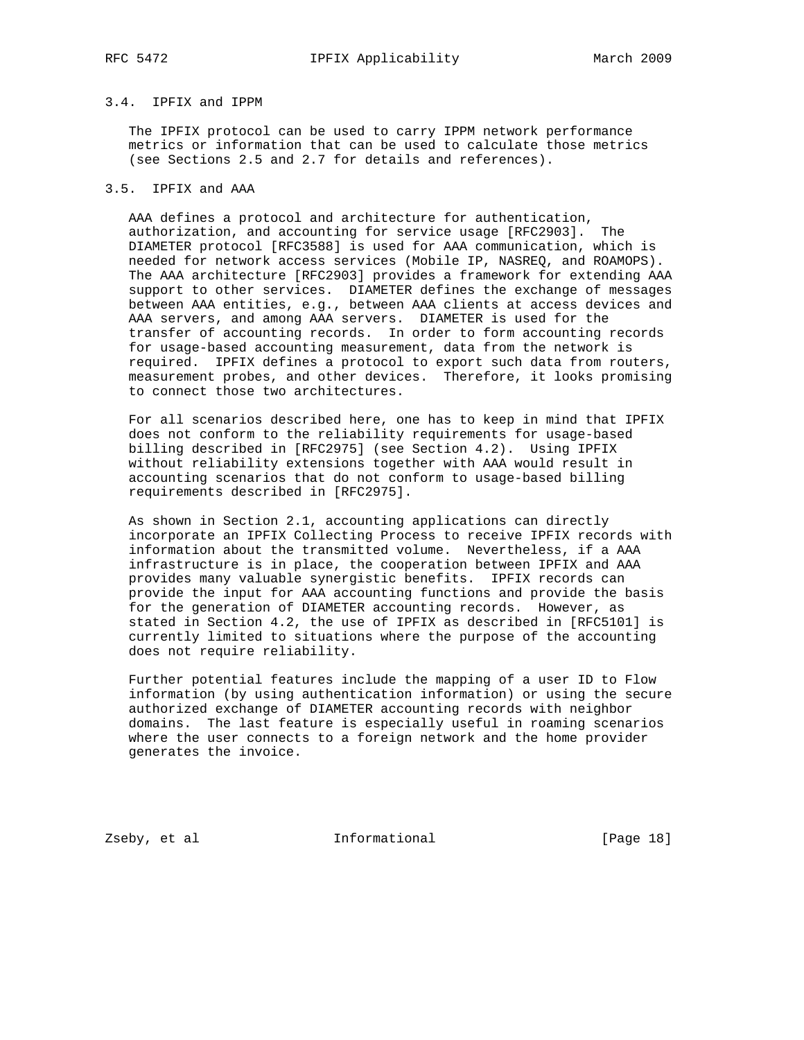# 3.4. IPFIX and IPPM

 The IPFIX protocol can be used to carry IPPM network performance metrics or information that can be used to calculate those metrics (see Sections 2.5 and 2.7 for details and references).

# 3.5. IPFIX and AAA

 AAA defines a protocol and architecture for authentication, authorization, and accounting for service usage [RFC2903]. The DIAMETER protocol [RFC3588] is used for AAA communication, which is needed for network access services (Mobile IP, NASREQ, and ROAMOPS). The AAA architecture [RFC2903] provides a framework for extending AAA support to other services. DIAMETER defines the exchange of messages between AAA entities, e.g., between AAA clients at access devices and AAA servers, and among AAA servers. DIAMETER is used for the transfer of accounting records. In order to form accounting records for usage-based accounting measurement, data from the network is required. IPFIX defines a protocol to export such data from routers, measurement probes, and other devices. Therefore, it looks promising to connect those two architectures.

 For all scenarios described here, one has to keep in mind that IPFIX does not conform to the reliability requirements for usage-based billing described in [RFC2975] (see Section 4.2). Using IPFIX without reliability extensions together with AAA would result in accounting scenarios that do not conform to usage-based billing requirements described in [RFC2975].

 As shown in Section 2.1, accounting applications can directly incorporate an IPFIX Collecting Process to receive IPFIX records with information about the transmitted volume. Nevertheless, if a AAA infrastructure is in place, the cooperation between IPFIX and AAA provides many valuable synergistic benefits. IPFIX records can provide the input for AAA accounting functions and provide the basis for the generation of DIAMETER accounting records. However, as stated in Section 4.2, the use of IPFIX as described in [RFC5101] is currently limited to situations where the purpose of the accounting does not require reliability.

 Further potential features include the mapping of a user ID to Flow information (by using authentication information) or using the secure authorized exchange of DIAMETER accounting records with neighbor domains. The last feature is especially useful in roaming scenarios where the user connects to a foreign network and the home provider generates the invoice.

Zseby, et al **Informational** [Page 18]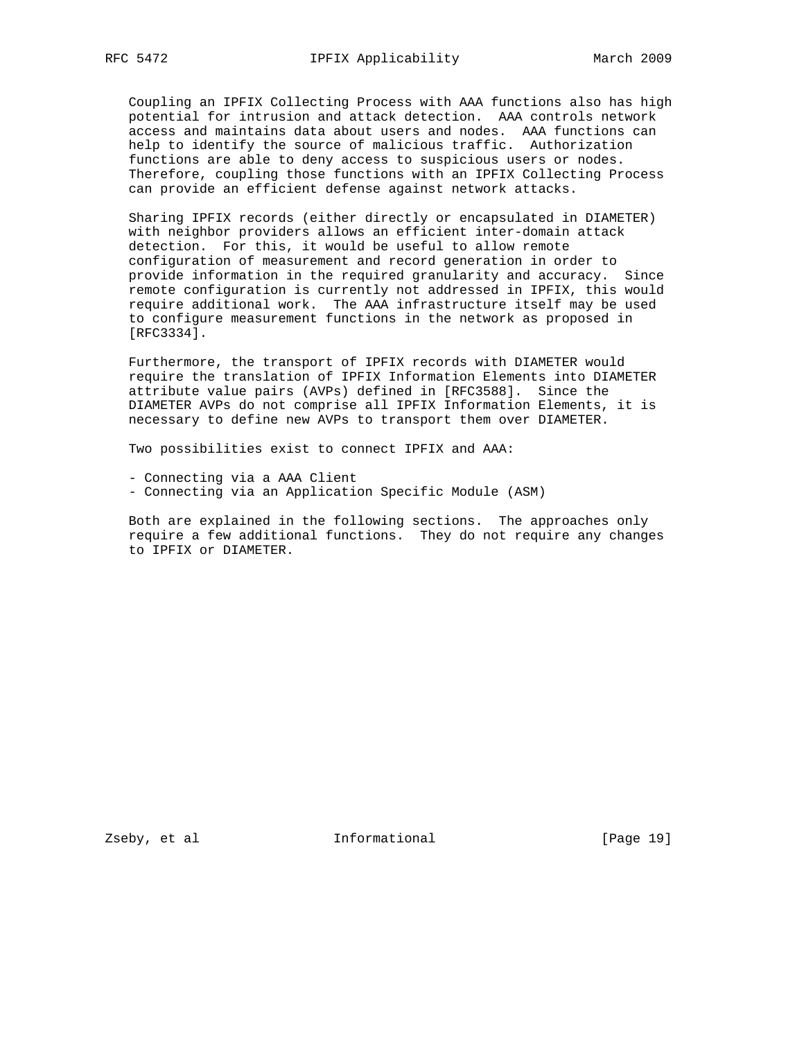Coupling an IPFIX Collecting Process with AAA functions also has high potential for intrusion and attack detection. AAA controls network access and maintains data about users and nodes. AAA functions can help to identify the source of malicious traffic. Authorization functions are able to deny access to suspicious users or nodes. Therefore, coupling those functions with an IPFIX Collecting Process can provide an efficient defense against network attacks.

 Sharing IPFIX records (either directly or encapsulated in DIAMETER) with neighbor providers allows an efficient inter-domain attack detection. For this, it would be useful to allow remote configuration of measurement and record generation in order to provide information in the required granularity and accuracy. Since remote configuration is currently not addressed in IPFIX, this would require additional work. The AAA infrastructure itself may be used to configure measurement functions in the network as proposed in [RFC3334].

 Furthermore, the transport of IPFIX records with DIAMETER would require the translation of IPFIX Information Elements into DIAMETER attribute value pairs (AVPs) defined in [RFC3588]. Since the DIAMETER AVPs do not comprise all IPFIX Information Elements, it is necessary to define new AVPs to transport them over DIAMETER.

Two possibilities exist to connect IPFIX and AAA:

- Connecting via a AAA Client
- Connecting via an Application Specific Module (ASM)

 Both are explained in the following sections. The approaches only require a few additional functions. They do not require any changes to IPFIX or DIAMETER.

Zseby, et al informational [Page 19]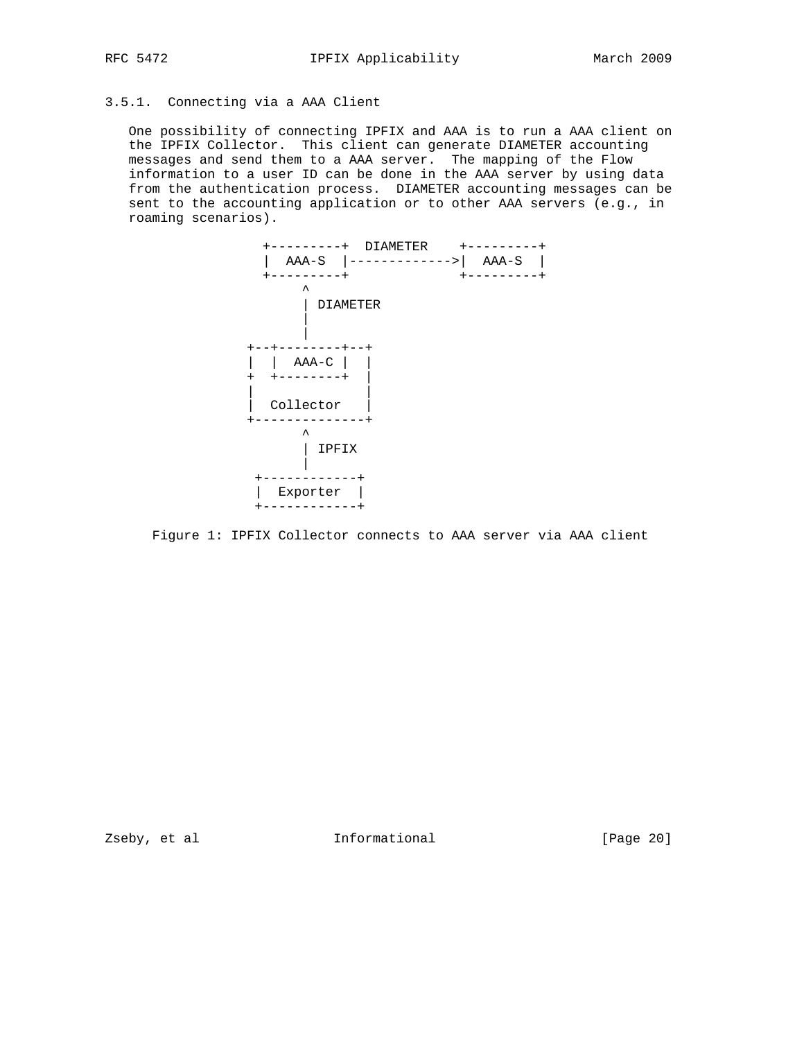# 3.5.1. Connecting via a AAA Client

 One possibility of connecting IPFIX and AAA is to run a AAA client on the IPFIX Collector. This client can generate DIAMETER accounting messages and send them to a AAA server. The mapping of the Flow information to a user ID can be done in the AAA server by using data from the authentication process. DIAMETER accounting messages can be sent to the accounting application or to other AAA servers (e.g., in roaming scenarios).



Figure 1: IPFIX Collector connects to AAA server via AAA client

Zseby, et al **Informational** [Page 20]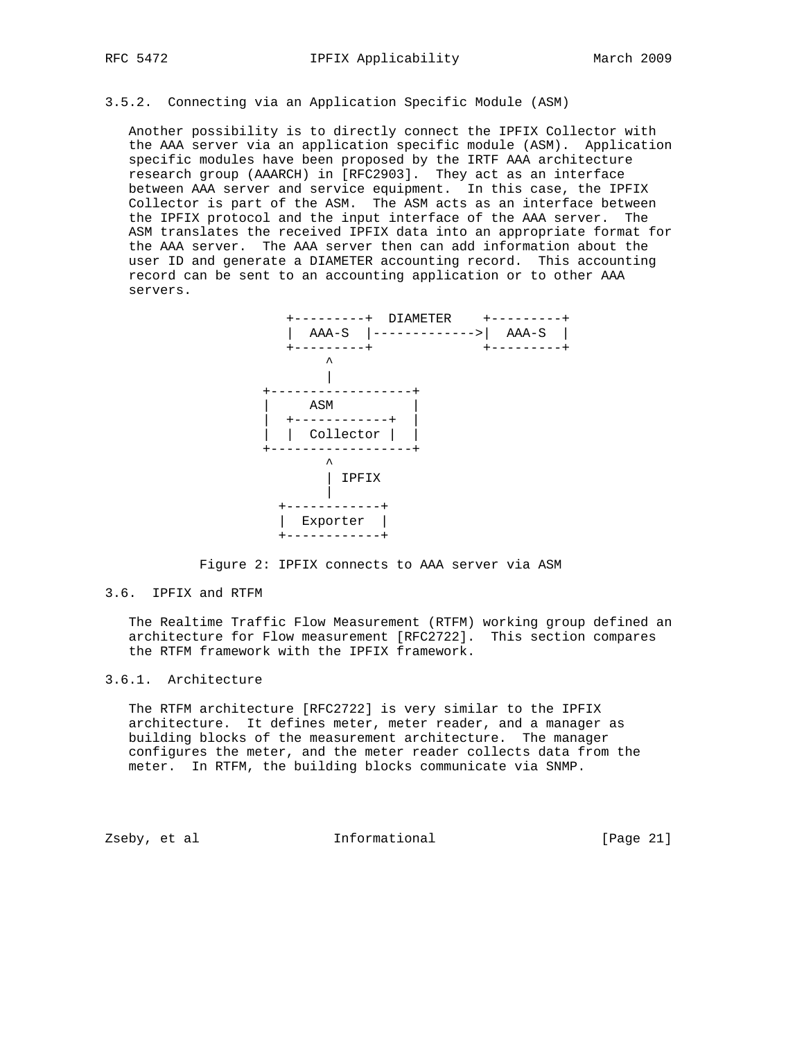# 3.5.2. Connecting via an Application Specific Module (ASM)

 Another possibility is to directly connect the IPFIX Collector with the AAA server via an application specific module (ASM). Application specific modules have been proposed by the IRTF AAA architecture research group (AAARCH) in [RFC2903]. They act as an interface between AAA server and service equipment. In this case, the IPFIX Collector is part of the ASM. The ASM acts as an interface between the IPFIX protocol and the input interface of the AAA server. The ASM translates the received IPFIX data into an appropriate format for the AAA server. The AAA server then can add information about the user ID and generate a DIAMETER accounting record. This accounting record can be sent to an accounting application or to other AAA servers.



Figure 2: IPFIX connects to AAA server via ASM

### 3.6. IPFIX and RTFM

 The Realtime Traffic Flow Measurement (RTFM) working group defined an architecture for Flow measurement [RFC2722]. This section compares the RTFM framework with the IPFIX framework.

# 3.6.1. Architecture

 The RTFM architecture [RFC2722] is very similar to the IPFIX architecture. It defines meter, meter reader, and a manager as building blocks of the measurement architecture. The manager configures the meter, and the meter reader collects data from the meter. In RTFM, the building blocks communicate via SNMP.

Zseby, et al informational [Page 21]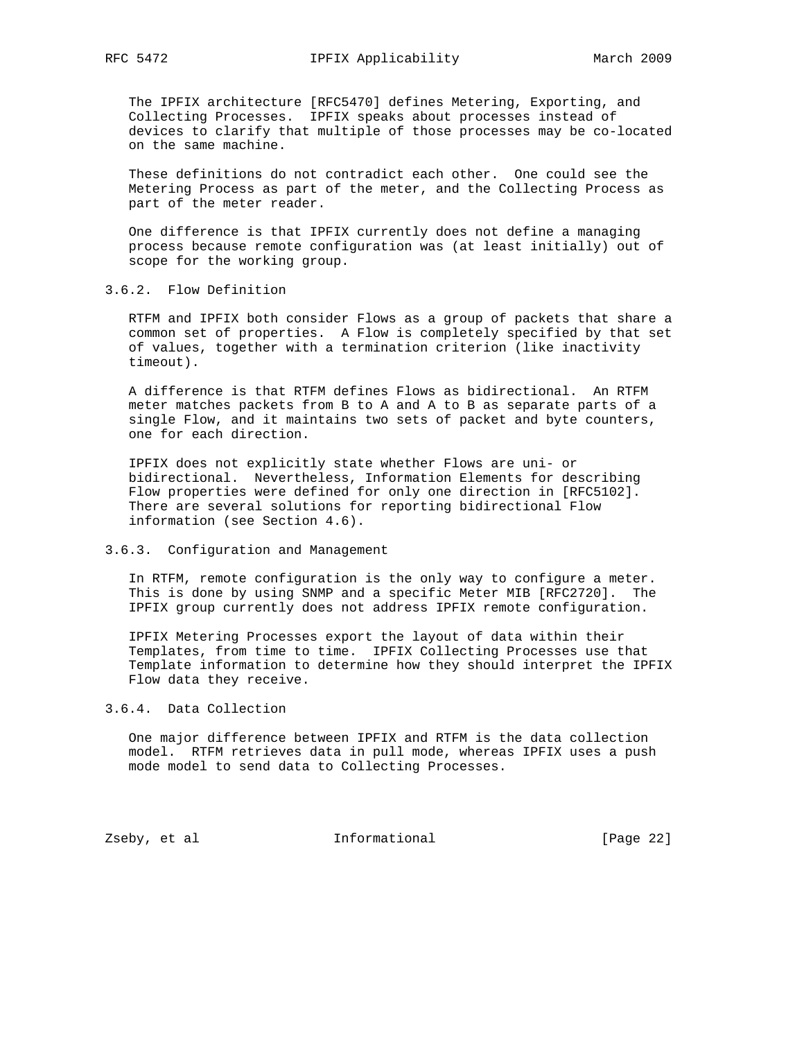The IPFIX architecture [RFC5470] defines Metering, Exporting, and Collecting Processes. IPFIX speaks about processes instead of devices to clarify that multiple of those processes may be co-located on the same machine.

 These definitions do not contradict each other. One could see the Metering Process as part of the meter, and the Collecting Process as part of the meter reader.

 One difference is that IPFIX currently does not define a managing process because remote configuration was (at least initially) out of scope for the working group.

# 3.6.2. Flow Definition

 RTFM and IPFIX both consider Flows as a group of packets that share a common set of properties. A Flow is completely specified by that set of values, together with a termination criterion (like inactivity timeout).

 A difference is that RTFM defines Flows as bidirectional. An RTFM meter matches packets from B to A and A to B as separate parts of a single Flow, and it maintains two sets of packet and byte counters, one for each direction.

 IPFIX does not explicitly state whether Flows are uni- or bidirectional. Nevertheless, Information Elements for describing Flow properties were defined for only one direction in [RFC5102]. There are several solutions for reporting bidirectional Flow information (see Section 4.6).

### 3.6.3. Configuration and Management

 In RTFM, remote configuration is the only way to configure a meter. This is done by using SNMP and a specific Meter MIB [RFC2720]. The IPFIX group currently does not address IPFIX remote configuration.

 IPFIX Metering Processes export the layout of data within their Templates, from time to time. IPFIX Collecting Processes use that Template information to determine how they should interpret the IPFIX Flow data they receive.

## 3.6.4. Data Collection

 One major difference between IPFIX and RTFM is the data collection model. RTFM retrieves data in pull mode, whereas IPFIX uses a push mode model to send data to Collecting Processes.

Zseby, et al **Informational** [Page 22]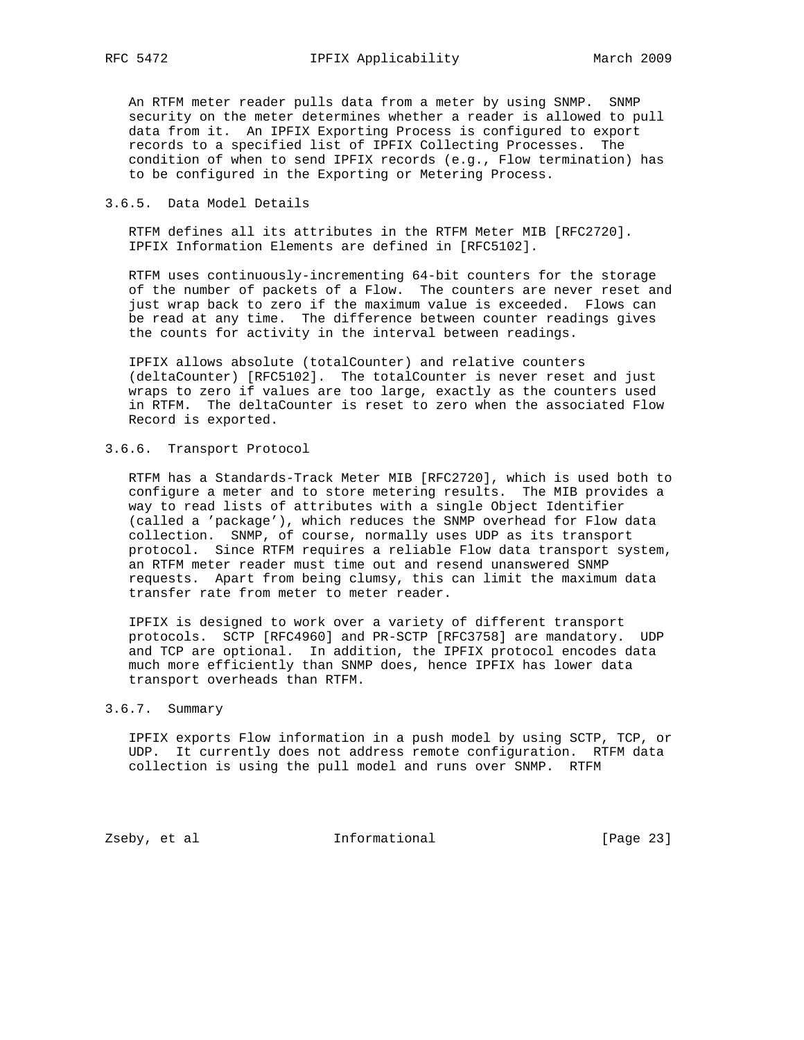An RTFM meter reader pulls data from a meter by using SNMP. SNMP security on the meter determines whether a reader is allowed to pull data from it. An IPFIX Exporting Process is configured to export records to a specified list of IPFIX Collecting Processes. The condition of when to send IPFIX records (e.g., Flow termination) has to be configured in the Exporting or Metering Process.

# 3.6.5. Data Model Details

 RTFM defines all its attributes in the RTFM Meter MIB [RFC2720]. IPFIX Information Elements are defined in [RFC5102].

 RTFM uses continuously-incrementing 64-bit counters for the storage of the number of packets of a Flow. The counters are never reset and just wrap back to zero if the maximum value is exceeded. Flows can be read at any time. The difference between counter readings gives the counts for activity in the interval between readings.

 IPFIX allows absolute (totalCounter) and relative counters (deltaCounter) [RFC5102]. The totalCounter is never reset and just wraps to zero if values are too large, exactly as the counters used in RTFM. The deltaCounter is reset to zero when the associated Flow Record is exported.

### 3.6.6. Transport Protocol

 RTFM has a Standards-Track Meter MIB [RFC2720], which is used both to configure a meter and to store metering results. The MIB provides a way to read lists of attributes with a single Object Identifier (called a 'package'), which reduces the SNMP overhead for Flow data collection. SNMP, of course, normally uses UDP as its transport protocol. Since RTFM requires a reliable Flow data transport system, an RTFM meter reader must time out and resend unanswered SNMP requests. Apart from being clumsy, this can limit the maximum data transfer rate from meter to meter reader.

 IPFIX is designed to work over a variety of different transport protocols. SCTP [RFC4960] and PR-SCTP [RFC3758] are mandatory. UDP and TCP are optional. In addition, the IPFIX protocol encodes data much more efficiently than SNMP does, hence IPFIX has lower data transport overheads than RTFM.

# 3.6.7. Summary

 IPFIX exports Flow information in a push model by using SCTP, TCP, or UDP. It currently does not address remote configuration. RTFM data collection is using the pull model and runs over SNMP. RTFM

Zseby, et al **Informational** [Page 23]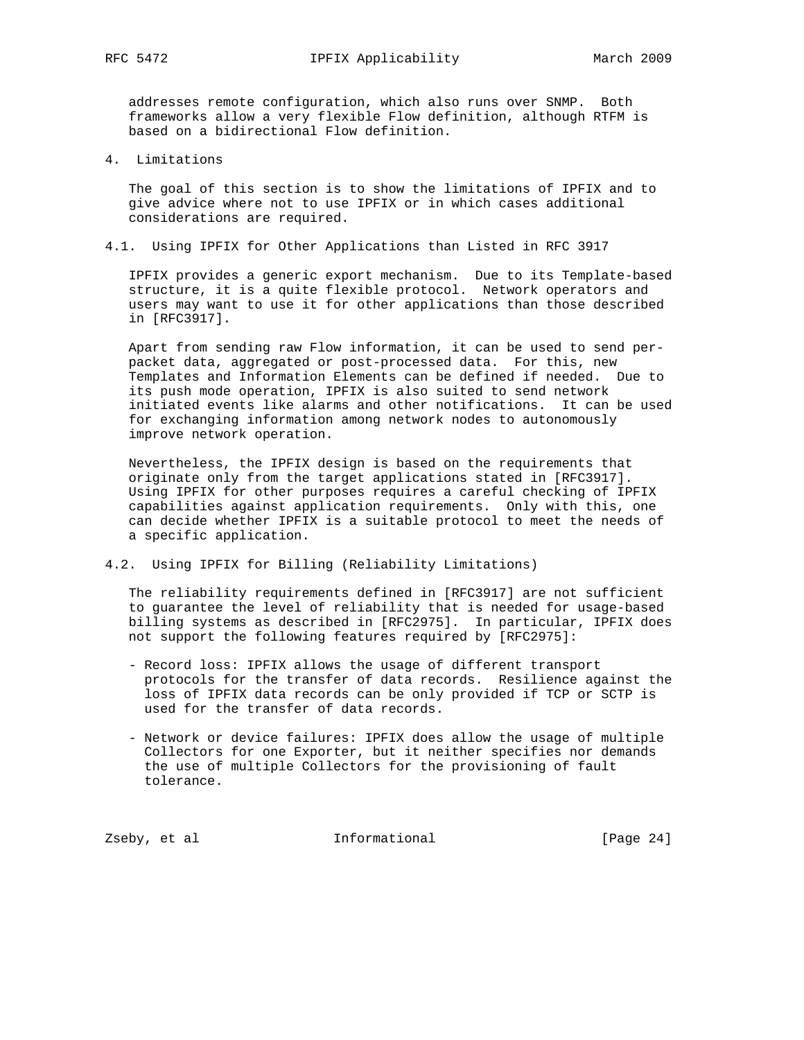addresses remote configuration, which also runs over SNMP. Both frameworks allow a very flexible Flow definition, although RTFM is based on a bidirectional Flow definition.

4. Limitations

 The goal of this section is to show the limitations of IPFIX and to give advice where not to use IPFIX or in which cases additional considerations are required.

4.1. Using IPFIX for Other Applications than Listed in RFC 3917

 IPFIX provides a generic export mechanism. Due to its Template-based structure, it is a quite flexible protocol. Network operators and users may want to use it for other applications than those described in [RFC3917].

 Apart from sending raw Flow information, it can be used to send per packet data, aggregated or post-processed data. For this, new Templates and Information Elements can be defined if needed. Due to its push mode operation, IPFIX is also suited to send network initiated events like alarms and other notifications. It can be used for exchanging information among network nodes to autonomously improve network operation.

 Nevertheless, the IPFIX design is based on the requirements that originate only from the target applications stated in [RFC3917]. Using IPFIX for other purposes requires a careful checking of IPFIX capabilities against application requirements. Only with this, one can decide whether IPFIX is a suitable protocol to meet the needs of a specific application.

4.2. Using IPFIX for Billing (Reliability Limitations)

 The reliability requirements defined in [RFC3917] are not sufficient to guarantee the level of reliability that is needed for usage-based billing systems as described in [RFC2975]. In particular, IPFIX does not support the following features required by [RFC2975]:

- Record loss: IPFIX allows the usage of different transport protocols for the transfer of data records. Resilience against the loss of IPFIX data records can be only provided if TCP or SCTP is used for the transfer of data records.
- Network or device failures: IPFIX does allow the usage of multiple Collectors for one Exporter, but it neither specifies nor demands the use of multiple Collectors for the provisioning of fault tolerance.

Zseby, et al **Informational** [Page 24]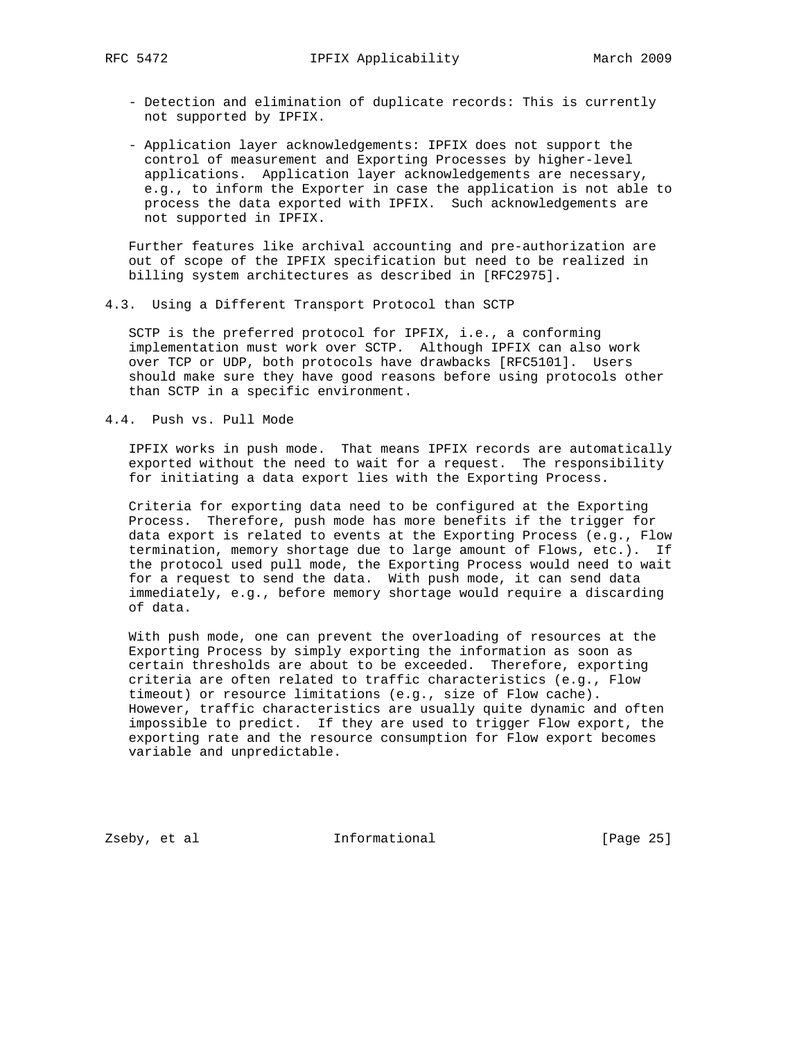- Detection and elimination of duplicate records: This is currently not supported by IPFIX.
- Application layer acknowledgements: IPFIX does not support the control of measurement and Exporting Processes by higher-level applications. Application layer acknowledgements are necessary, e.g., to inform the Exporter in case the application is not able to process the data exported with IPFIX. Such acknowledgements are not supported in IPFIX.

 Further features like archival accounting and pre-authorization are out of scope of the IPFIX specification but need to be realized in billing system architectures as described in [RFC2975].

4.3. Using a Different Transport Protocol than SCTP

 SCTP is the preferred protocol for IPFIX, i.e., a conforming implementation must work over SCTP. Although IPFIX can also work over TCP or UDP, both protocols have drawbacks [RFC5101]. Users should make sure they have good reasons before using protocols other than SCTP in a specific environment.

4.4. Push vs. Pull Mode

 IPFIX works in push mode. That means IPFIX records are automatically exported without the need to wait for a request. The responsibility for initiating a data export lies with the Exporting Process.

 Criteria for exporting data need to be configured at the Exporting Process. Therefore, push mode has more benefits if the trigger for data export is related to events at the Exporting Process (e.g., Flow termination, memory shortage due to large amount of Flows, etc.). If the protocol used pull mode, the Exporting Process would need to wait for a request to send the data. With push mode, it can send data immediately, e.g., before memory shortage would require a discarding of data.

 With push mode, one can prevent the overloading of resources at the Exporting Process by simply exporting the information as soon as certain thresholds are about to be exceeded. Therefore, exporting criteria are often related to traffic characteristics (e.g., Flow timeout) or resource limitations (e.g., size of Flow cache). However, traffic characteristics are usually quite dynamic and often impossible to predict. If they are used to trigger Flow export, the exporting rate and the resource consumption for Flow export becomes variable and unpredictable.

Zseby, et al **Informational** [Page 25]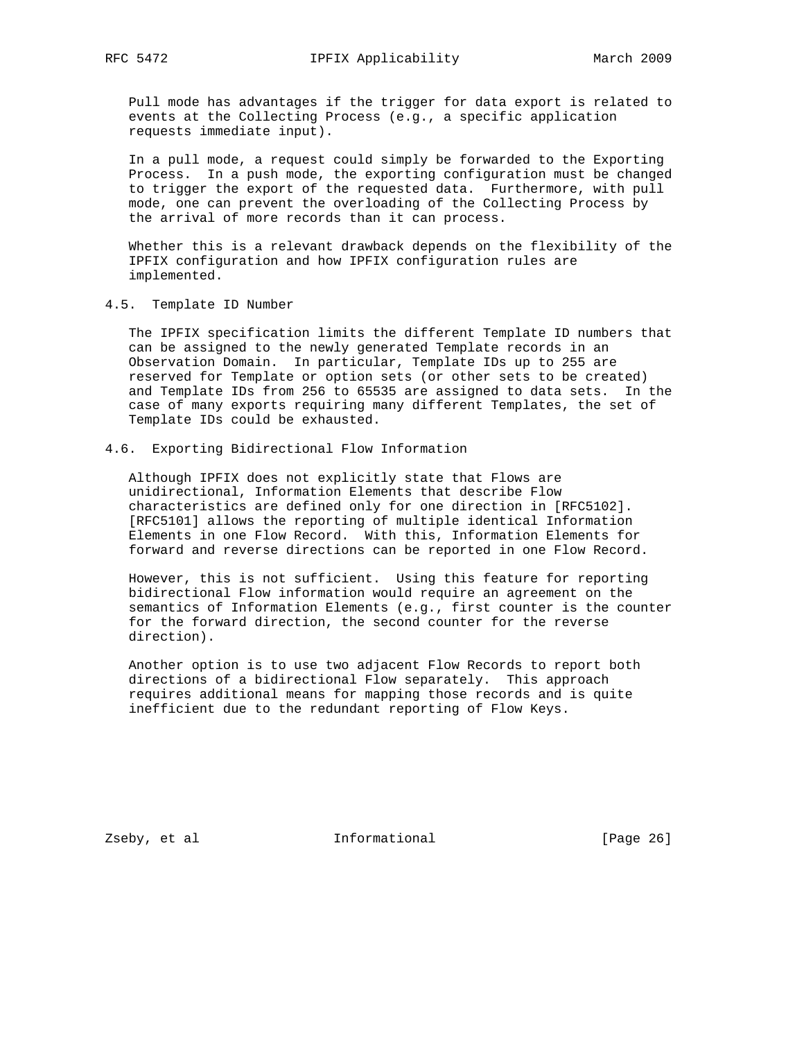Pull mode has advantages if the trigger for data export is related to events at the Collecting Process (e.g., a specific application requests immediate input).

 In a pull mode, a request could simply be forwarded to the Exporting Process. In a push mode, the exporting configuration must be changed to trigger the export of the requested data. Furthermore, with pull mode, one can prevent the overloading of the Collecting Process by the arrival of more records than it can process.

 Whether this is a relevant drawback depends on the flexibility of the IPFIX configuration and how IPFIX configuration rules are implemented.

4.5. Template ID Number

 The IPFIX specification limits the different Template ID numbers that can be assigned to the newly generated Template records in an Observation Domain. In particular, Template IDs up to 255 are reserved for Template or option sets (or other sets to be created) and Template IDs from 256 to 65535 are assigned to data sets. In the case of many exports requiring many different Templates, the set of Template IDs could be exhausted.

## 4.6. Exporting Bidirectional Flow Information

 Although IPFIX does not explicitly state that Flows are unidirectional, Information Elements that describe Flow characteristics are defined only for one direction in [RFC5102]. [RFC5101] allows the reporting of multiple identical Information Elements in one Flow Record. With this, Information Elements for forward and reverse directions can be reported in one Flow Record.

 However, this is not sufficient. Using this feature for reporting bidirectional Flow information would require an agreement on the semantics of Information Elements (e.g., first counter is the counter for the forward direction, the second counter for the reverse direction).

 Another option is to use two adjacent Flow Records to report both directions of a bidirectional Flow separately. This approach requires additional means for mapping those records and is quite inefficient due to the redundant reporting of Flow Keys.

Zseby, et al **Informational** [Page 26]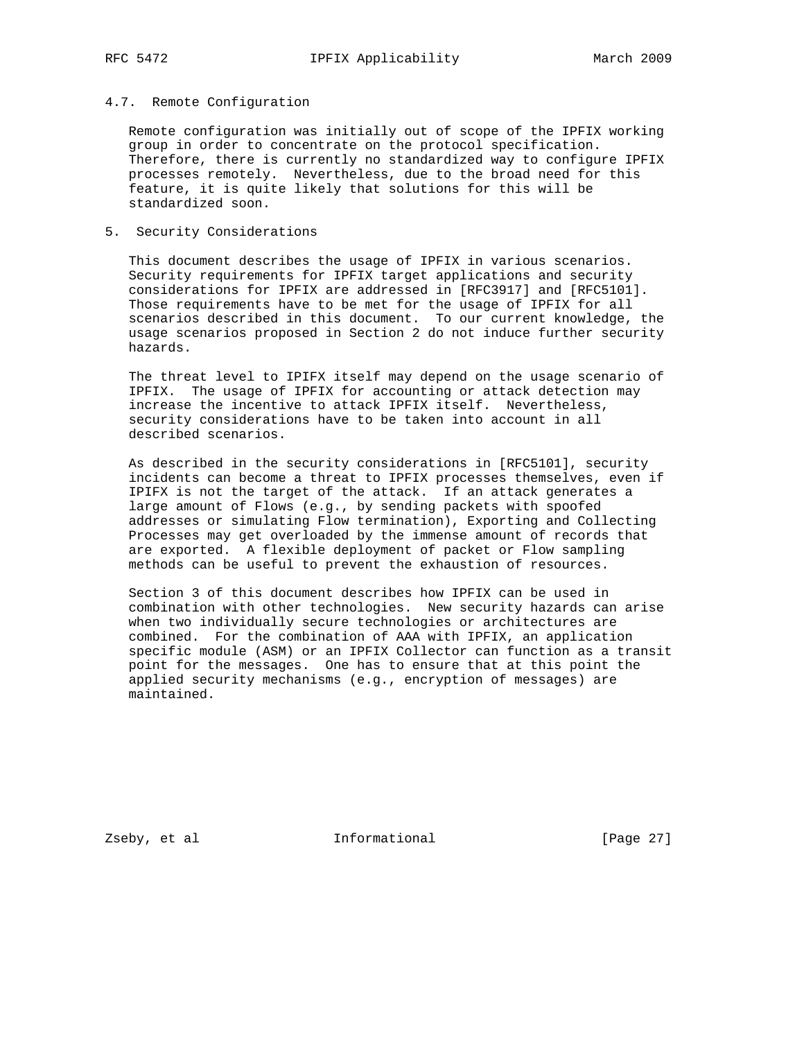### 4.7. Remote Configuration

 Remote configuration was initially out of scope of the IPFIX working group in order to concentrate on the protocol specification. Therefore, there is currently no standardized way to configure IPFIX processes remotely. Nevertheless, due to the broad need for this feature, it is quite likely that solutions for this will be standardized soon.

# 5. Security Considerations

 This document describes the usage of IPFIX in various scenarios. Security requirements for IPFIX target applications and security considerations for IPFIX are addressed in [RFC3917] and [RFC5101]. Those requirements have to be met for the usage of IPFIX for all scenarios described in this document. To our current knowledge, the usage scenarios proposed in Section 2 do not induce further security hazards.

 The threat level to IPIFX itself may depend on the usage scenario of IPFIX. The usage of IPFIX for accounting or attack detection may increase the incentive to attack IPFIX itself. Nevertheless, security considerations have to be taken into account in all described scenarios.

 As described in the security considerations in [RFC5101], security incidents can become a threat to IPFIX processes themselves, even if IPIFX is not the target of the attack. If an attack generates a large amount of Flows (e.g., by sending packets with spoofed addresses or simulating Flow termination), Exporting and Collecting Processes may get overloaded by the immense amount of records that are exported. A flexible deployment of packet or Flow sampling methods can be useful to prevent the exhaustion of resources.

 Section 3 of this document describes how IPFIX can be used in combination with other technologies. New security hazards can arise when two individually secure technologies or architectures are combined. For the combination of AAA with IPFIX, an application specific module (ASM) or an IPFIX Collector can function as a transit point for the messages. One has to ensure that at this point the applied security mechanisms (e.g., encryption of messages) are maintained.

Zseby, et al **Informational** [Page 27]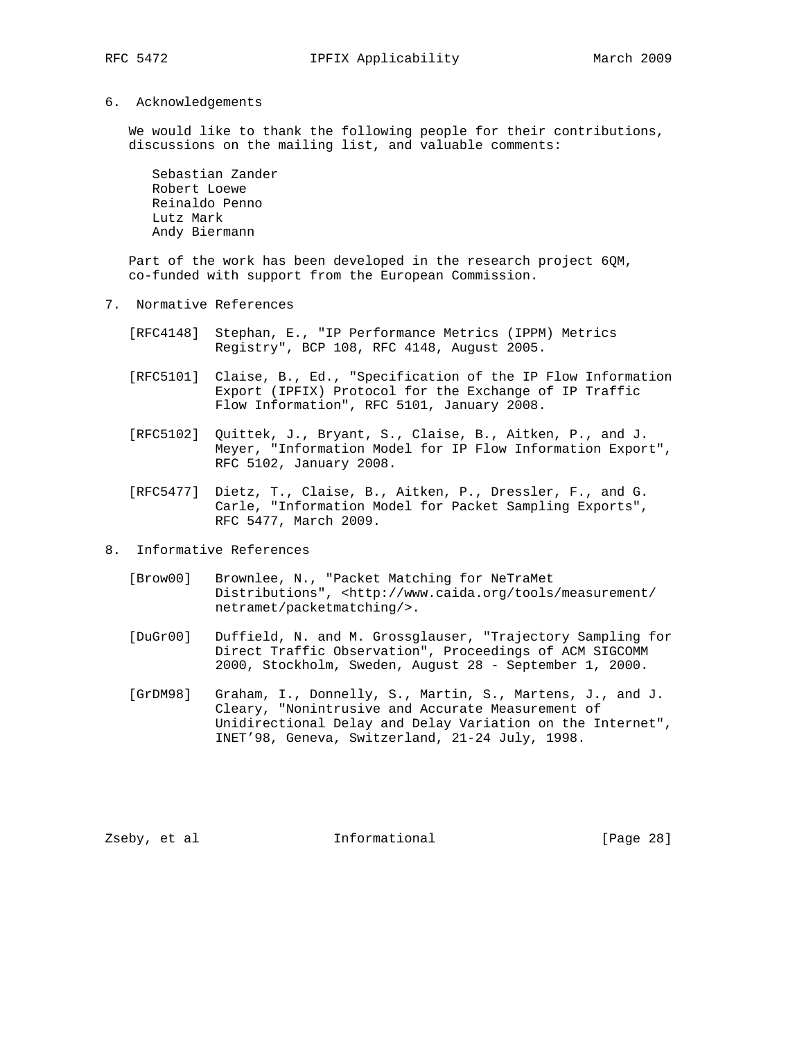# 6. Acknowledgements

 We would like to thank the following people for their contributions, discussions on the mailing list, and valuable comments:

 Sebastian Zander Robert Loewe Reinaldo Penno Lutz Mark Andy Biermann

 Part of the work has been developed in the research project 6QM, co-funded with support from the European Commission.

- 7. Normative References
	- [RFC4148] Stephan, E., "IP Performance Metrics (IPPM) Metrics Registry", BCP 108, RFC 4148, August 2005.
	- [RFC5101] Claise, B., Ed., "Specification of the IP Flow Information Export (IPFIX) Protocol for the Exchange of IP Traffic Flow Information", RFC 5101, January 2008.
	- [RFC5102] Quittek, J., Bryant, S., Claise, B., Aitken, P., and J. Meyer, "Information Model for IP Flow Information Export", RFC 5102, January 2008.
	- [RFC5477] Dietz, T., Claise, B., Aitken, P., Dressler, F., and G. Carle, "Information Model for Packet Sampling Exports", RFC 5477, March 2009.
- 8. Informative References
	- [Brow00] Brownlee, N., "Packet Matching for NeTraMet Distributions", <http://www.caida.org/tools/measurement/ netramet/packetmatching/>.
	- [DuGr00] Duffield, N. and M. Grossglauser, "Trajectory Sampling for Direct Traffic Observation", Proceedings of ACM SIGCOMM 2000, Stockholm, Sweden, August 28 - September 1, 2000.
	- [GrDM98] Graham, I., Donnelly, S., Martin, S., Martens, J., and J. Cleary, "Nonintrusive and Accurate Measurement of Unidirectional Delay and Delay Variation on the Internet", INET'98, Geneva, Switzerland, 21-24 July, 1998.

Zseby, et al **Informational** [Page 28]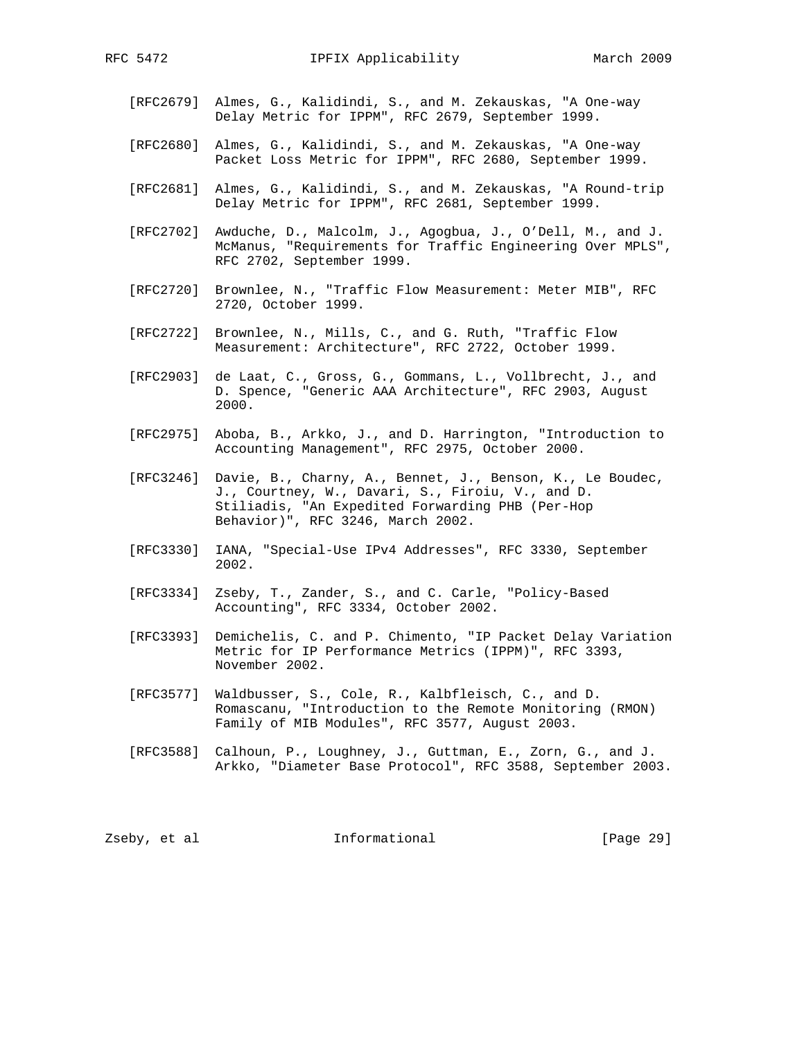- [RFC2679] Almes, G., Kalidindi, S., and M. Zekauskas, "A One-way Delay Metric for IPPM", RFC 2679, September 1999.
- [RFC2680] Almes, G., Kalidindi, S., and M. Zekauskas, "A One-way Packet Loss Metric for IPPM", RFC 2680, September 1999.
- [RFC2681] Almes, G., Kalidindi, S., and M. Zekauskas, "A Round-trip Delay Metric for IPPM", RFC 2681, September 1999.
- [RFC2702] Awduche, D., Malcolm, J., Agogbua, J., O'Dell, M., and J. McManus, "Requirements for Traffic Engineering Over MPLS", RFC 2702, September 1999.
- [RFC2720] Brownlee, N., "Traffic Flow Measurement: Meter MIB", RFC 2720, October 1999.
- [RFC2722] Brownlee, N., Mills, C., and G. Ruth, "Traffic Flow Measurement: Architecture", RFC 2722, October 1999.
- [RFC2903] de Laat, C., Gross, G., Gommans, L., Vollbrecht, J., and D. Spence, "Generic AAA Architecture", RFC 2903, August 2000.
- [RFC2975] Aboba, B., Arkko, J., and D. Harrington, "Introduction to Accounting Management", RFC 2975, October 2000.
- [RFC3246] Davie, B., Charny, A., Bennet, J., Benson, K., Le Boudec, J., Courtney, W., Davari, S., Firoiu, V., and D. Stiliadis, "An Expedited Forwarding PHB (Per-Hop Behavior)", RFC 3246, March 2002.
- [RFC3330] IANA, "Special-Use IPv4 Addresses", RFC 3330, September 2002.
- [RFC3334] Zseby, T., Zander, S., and C. Carle, "Policy-Based Accounting", RFC 3334, October 2002.
- [RFC3393] Demichelis, C. and P. Chimento, "IP Packet Delay Variation Metric for IP Performance Metrics (IPPM)", RFC 3393, November 2002.
- [RFC3577] Waldbusser, S., Cole, R., Kalbfleisch, C., and D. Romascanu, "Introduction to the Remote Monitoring (RMON) Family of MIB Modules", RFC 3577, August 2003.
- [RFC3588] Calhoun, P., Loughney, J., Guttman, E., Zorn, G., and J. Arkko, "Diameter Base Protocol", RFC 3588, September 2003.

Zseby, et al  $I_n$  Informational (Page 29)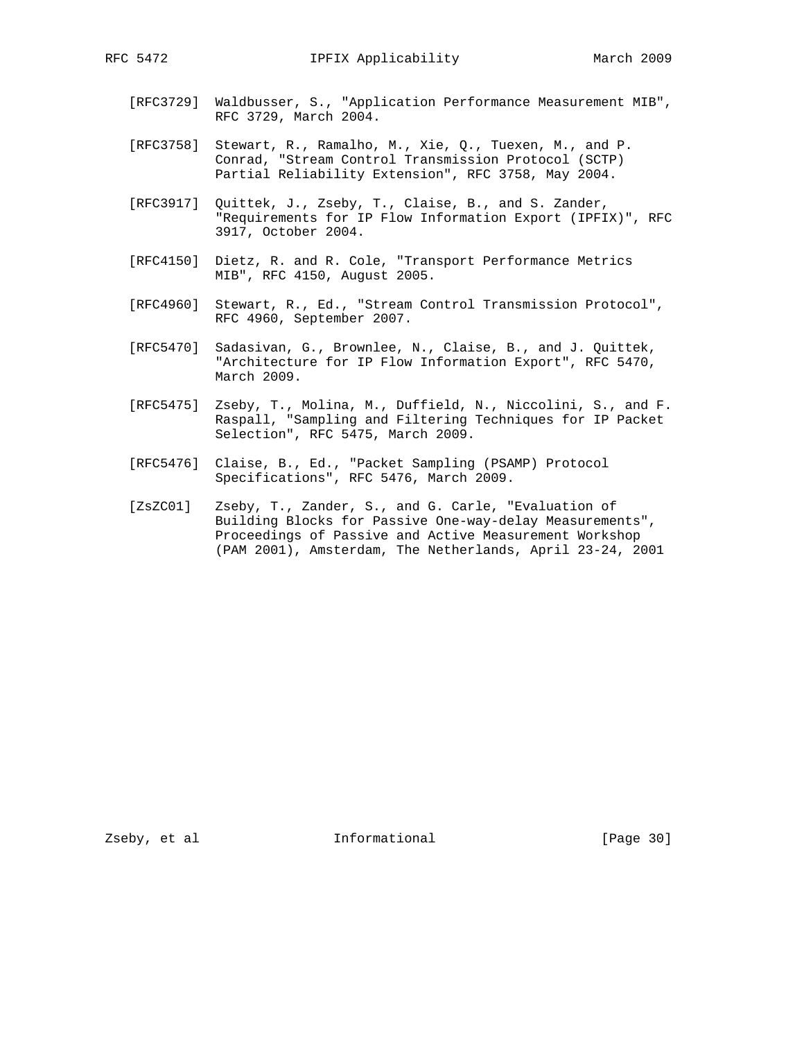- [RFC3729] Waldbusser, S., "Application Performance Measurement MIB", RFC 3729, March 2004.
- [RFC3758] Stewart, R., Ramalho, M., Xie, Q., Tuexen, M., and P. Conrad, "Stream Control Transmission Protocol (SCTP) Partial Reliability Extension", RFC 3758, May 2004.
- [RFC3917] Quittek, J., Zseby, T., Claise, B., and S. Zander, "Requirements for IP Flow Information Export (IPFIX)", RFC 3917, October 2004.
- [RFC4150] Dietz, R. and R. Cole, "Transport Performance Metrics MIB", RFC 4150, August 2005.
- [RFC4960] Stewart, R., Ed., "Stream Control Transmission Protocol", RFC 4960, September 2007.
- [RFC5470] Sadasivan, G., Brownlee, N., Claise, B., and J. Quittek, "Architecture for IP Flow Information Export", RFC 5470, March 2009.
- [RFC5475] Zseby, T., Molina, M., Duffield, N., Niccolini, S., and F. Raspall, "Sampling and Filtering Techniques for IP Packet Selection", RFC 5475, March 2009.
- [RFC5476] Claise, B., Ed., "Packet Sampling (PSAMP) Protocol Specifications", RFC 5476, March 2009.
	- [ZsZC01] Zseby, T., Zander, S., and G. Carle, "Evaluation of Building Blocks for Passive One-way-delay Measurements", Proceedings of Passive and Active Measurement Workshop (PAM 2001), Amsterdam, The Netherlands, April 23-24, 2001

Zseby, et al **Informational** [Page 30]